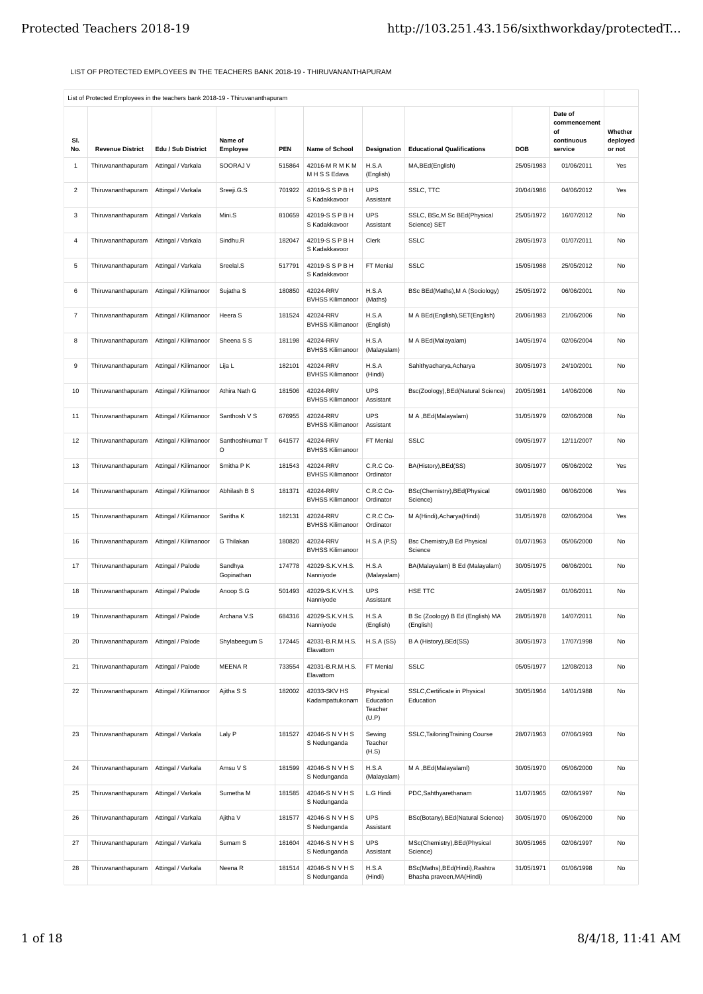## LIST OF PROTECTED EMPLOYEES IN THE TEACHERS BANK 2018-19 - THIRUVANANTHAPURAM

| SI.      | List on noticide Linployees in the teachers bank 2010 13 minutenana laparam |                                          | Name of               |                      |                                      |                                           |                                                               | DOB        | Date of<br>commencement<br>of<br>continuous | Whether<br>deployed |
|----------|-----------------------------------------------------------------------------|------------------------------------------|-----------------------|----------------------|--------------------------------------|-------------------------------------------|---------------------------------------------------------------|------------|---------------------------------------------|---------------------|
| No.<br>1 | <b>Revenue District</b><br>Thiruvananthapuram                               | Edu / Sub District<br>Attingal / Varkala | Employee<br>SOORAJ V  | <b>PEN</b><br>515864 | Name of School<br>42016-M R M K M    | Designation<br>H.S.A                      | <b>Educational Qualifications</b><br>MA, BEd (English)        | 25/05/1983 | service<br>01/06/2011                       | or not<br>Yes       |
| 2        | Thiruvananthapuram                                                          | Attingal / Varkala                       | Sreeji.G.S            | 701922               | M H S S Edava<br>42019-S S P B H     | (English)<br><b>UPS</b>                   | SSLC, TTC                                                     | 20/04/1986 | 04/06/2012                                  | Yes                 |
|          |                                                                             |                                          |                       |                      | S Kadakkavoor                        | Assistant                                 |                                                               |            |                                             |                     |
| 3        | Thiruvananthapuram                                                          | Attingal / Varkala                       | Mini.S                | 810659               | 42019-S S P B H<br>S Kadakkavoor     | <b>UPS</b><br>Assistant                   | SSLC, BSc,M Sc BEd(Physical<br>Science) SET                   | 25/05/1972 | 16/07/2012                                  | No                  |
| 4        | Thiruvananthapuram                                                          | Attingal / Varkala                       | Sindhu.R              | 182047               | 42019-S S P B H<br>S Kadakkavoor     | Clerk                                     | <b>SSLC</b>                                                   | 28/05/1973 | 01/07/2011                                  | No                  |
| 5        | Thiruvananthapuram                                                          | Attingal / Varkala                       | Sreelal.S             | 517791               | 42019-S S P B H<br>S Kadakkavoor     | FT Menial                                 | <b>SSLC</b>                                                   | 15/05/1988 | 25/05/2012                                  | No                  |
| 6        | Thiruvananthapuram                                                          | Attingal / Kilimanoor                    | Sujatha <sub>S</sub>  | 180850               | 42024-RRV<br><b>BVHSS Kilimanoor</b> | H.S.A<br>(Maths)                          | BSc BEd(Maths), M A (Sociology)                               | 25/05/1972 | 06/06/2001                                  | No                  |
| 7        | Thiruvananthapuram                                                          | Attingal / Kilimanoor                    | Heera S               | 181524               | 42024-RRV<br><b>BVHSS Kilimanoor</b> | H.S.A<br>(English)                        | M A BEd(English), SET(English)                                | 20/06/1983 | 21/06/2006                                  | No                  |
| 8        | Thiruvananthapuram                                                          | Attingal / Kilimanoor                    | Sheena S S            | 181198               | 42024-RRV<br><b>BVHSS Kilimanoor</b> | H.S.A<br>(Malayalam)                      | M A BEd(Malayalam)                                            | 14/05/1974 | 02/06/2004                                  | No                  |
| 9        | Thiruvananthapuram                                                          | Attingal / Kilimanoor                    | Lija L                | 182101               | 42024-RRV<br><b>BVHSS Kilimanoor</b> | H.S.A<br>(Hindi)                          | Sahithyacharya, Acharya                                       | 30/05/1973 | 24/10/2001                                  | No                  |
| 10       | Thiruvananthapuram                                                          | Attingal / Kilimanoor                    | Athira Nath G         | 181506               | 42024-RRV<br><b>BVHSS Kilimanoor</b> | <b>UPS</b><br>Assistant                   | Bsc(Zoology), BEd(Natural Science)                            | 20/05/1981 | 14/06/2006                                  | No                  |
| 11       | Thiruvananthapuram                                                          | Attingal / Kilimanoor                    | Santhosh V S          | 676955               | 42024-RRV<br><b>BVHSS Kilimanoor</b> | <b>UPS</b><br>Assistant                   | M A , BEd(Malayalam)                                          | 31/05/1979 | 02/06/2008                                  | No                  |
| 12       | Thiruvananthapuram                                                          | Attingal / Kilimanoor                    | Santhoshkumar T<br>O  | 641577               | 42024-RRV<br><b>BVHSS Kilimanoor</b> | FT Menial                                 | <b>SSLC</b>                                                   | 09/05/1977 | 12/11/2007                                  | No                  |
| 13       | Thiruvananthapuram                                                          | Attingal / Kilimanoor                    | Smitha P K            | 181543               | 42024-RRV<br><b>BVHSS Kilimanoor</b> | C.R.C Co-<br>Ordinator                    | BA(History), BEd(SS)                                          | 30/05/1977 | 05/06/2002                                  | Yes                 |
| 14       | Thiruvananthapuram                                                          | Attingal / Kilimanoor                    | Abhilash B S          | 181371               | 42024-RRV<br><b>BVHSS Kilimanoor</b> | C.R.C Co-<br>Ordinator                    | BSc(Chemistry), BEd(Physical<br>Science)                      | 09/01/1980 | 06/06/2006                                  | Yes                 |
| 15       | Thiruvananthapuram                                                          | Attingal / Kilimanoor                    | Saritha K             | 182131               | 42024-RRV<br><b>BVHSS Kilimanoor</b> | C.R.C Co-<br>Ordinator                    | M A(Hindi), Acharya (Hindi)                                   | 31/05/1978 | 02/06/2004                                  | Yes                 |
| 16       | Thiruvananthapuram                                                          | Attingal / Kilimanoor                    | G Thilakan            | 180820               | 42024-RRV<br><b>BVHSS Kilimanoor</b> | H.S.A(P.S)                                | Bsc Chemistry, B Ed Physical<br>Science                       | 01/07/1963 | 05/06/2000                                  | No                  |
| 17       | Thiruvananthapuram                                                          | Attingal / Palode                        | Sandhya<br>Gopinathan | 174778               | 42029-S.K.V.H.S.<br>Nanniyode        | H.S.A<br>(Malayalam)                      | BA(Malayalam) B Ed (Malayalam)                                | 30/05/1975 | 06/06/2001                                  | No                  |
| 18       | Thiruvananthapuram                                                          | Attingal / Palode                        | Anoop S.G             | 501493               | 42029-S.K.V.H.S.<br>Nanniyode        | <b>UPS</b><br>Assistant                   | HSE TTC                                                       | 24/05/1987 | 01/06/2011                                  | No                  |
| 19       | Thiruvananthapuram                                                          | Attingal / Palode                        | Archana V.S           | 684316               | 42029-S.K.V.H.S.<br>Nanniyode        | H.S.A<br>(English)                        | B Sc (Zoology) B Ed (English) MA<br>(English)                 | 28/05/1978 | 14/07/2011                                  | No                  |
| 20       | Thiruvananthapuram                                                          | Attingal / Palode                        | Shylabeegum S         | 172445               | 42031-B.R.M.H.S.<br>Elavattom        | H.S.A(SS)                                 | B A (History), BEd(SS)                                        | 30/05/1973 | 17/07/1998                                  | No                  |
| 21       | Thiruvananthapuram                                                          | Attingal / Palode                        | <b>MEENAR</b>         | 733554               | 42031-B.R.M.H.S.<br>Elavattom        | FT Menial                                 | <b>SSLC</b>                                                   | 05/05/1977 | 12/08/2013                                  | No                  |
| 22       | Thiruvananthapuram                                                          | Attingal / Kilimanoor                    | Ajitha S S            | 182002               | 42033-SKV HS<br>Kadampattukonam      | Physical<br>Education<br>Teacher<br>(U.P) | SSLC, Certificate in Physical<br>Education                    | 30/05/1964 | 14/01/1988                                  | No                  |
| 23       | Thiruvananthapuram                                                          | Attingal / Varkala                       | Laly P                | 181527               | 42046-S N V H S<br>S Nedunganda      | Sewing<br>Teacher<br>(H.S)                | SSLC, Tailoring Training Course                               | 28/07/1963 | 07/06/1993                                  | No                  |
| 24       | Thiruvananthapuram                                                          | Attingal / Varkala                       | Amsu V S              | 181599               | 42046-S N V H S<br>S Nedunganda      | H.S.A<br>(Malayalam)                      | M A , BEd(Malayalaml)                                         | 30/05/1970 | 05/06/2000                                  | No                  |
| 25       | Thiruvananthapuram                                                          | Attingal / Varkala                       | Sumetha M             | 181585               | 42046-S N V H S<br>S Nedunganda      | L.G Hindi                                 | PDC, Sahthyarethanam                                          | 11/07/1965 | 02/06/1997                                  | No                  |
| 26       | Thiruvananthapuram                                                          | Attingal / Varkala                       | Ajitha V              | 181577               | 42046-S N V H S<br>S Nedunganda      | <b>UPS</b><br>Assistant                   | BSc(Botany), BEd(Natural Science)                             | 30/05/1970 | 05/06/2000                                  | No                  |
| 27       | Thiruvananthapuram                                                          | Attingal / Varkala                       | Sumam S               | 181604               | 42046-S N V H S<br>S Nedunganda      | <b>UPS</b><br>Assistant                   | MSc(Chemistry), BEd(Physical<br>Science)                      | 30/05/1965 | 02/06/1997                                  | No                  |
| 28       | Thiruvananthapuram                                                          | Attingal / Varkala                       | Neena <sub>R</sub>    | 181514               | 42046-S N V H S<br>S Nedunganda      | H.S.A<br>(Hindi)                          | BSc(Maths), BEd(Hindi), Rashtra<br>Bhasha praveen, MA (Hindi) | 31/05/1971 | 01/06/1998                                  | No                  |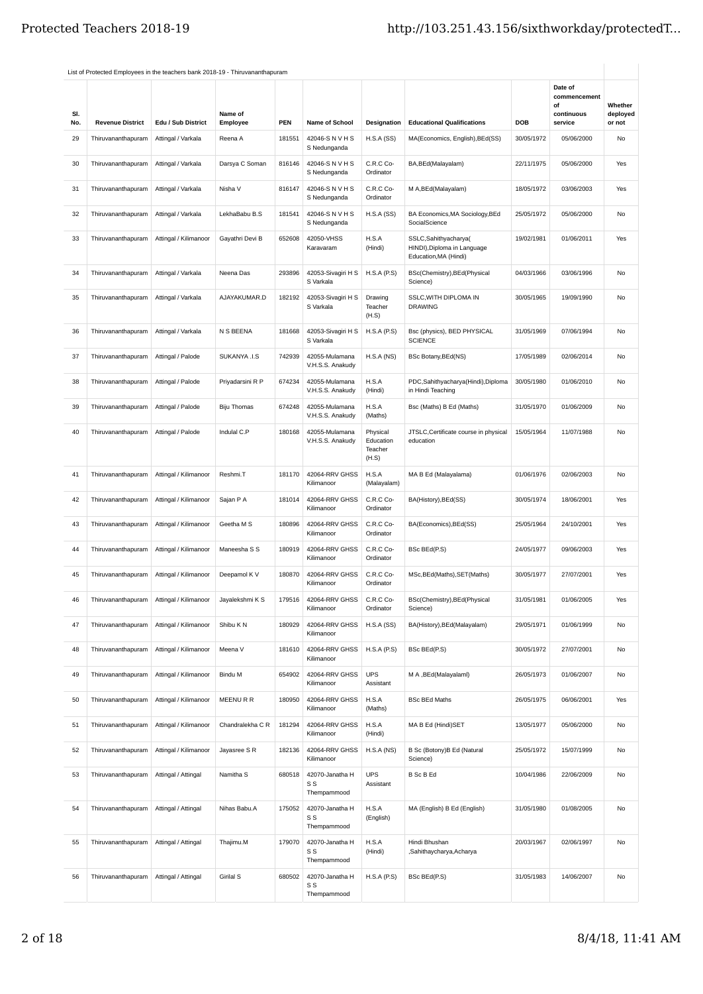| SI.<br>No. | <b>Revenue District</b> | Edu / Sub District    | Name of<br>Employee | <b>PEN</b> | Name of School                        | Designation                               | <b>Educational Qualifications</b>                                            | DOB        | Date of<br>commencement<br>of<br>continuous<br>service | Whether<br>deployed<br>or not |
|------------|-------------------------|-----------------------|---------------------|------------|---------------------------------------|-------------------------------------------|------------------------------------------------------------------------------|------------|--------------------------------------------------------|-------------------------------|
| 29         | Thiruvananthapuram      | Attingal / Varkala    | Reena A             | 181551     | 42046-S N V H S<br>S Nedunganda       | H.S.A(SS)                                 | MA(Economics, English), BEd(SS)                                              | 30/05/1972 | 05/06/2000                                             | No                            |
| 30         | Thiruvananthapuram      | Attingal / Varkala    | Darsya C Soman      | 816146     | 42046-S N V H S<br>S Nedunganda       | C.R.C Co-<br>Ordinator                    | BA, BEd (Malayalam)                                                          | 22/11/1975 | 05/06/2000                                             | Yes                           |
| 31         | Thiruvananthapuram      | Attingal / Varkala    | Nisha V             | 816147     | 42046-S N V H S<br>S Nedunganda       | C.R.C Co-<br>Ordinator                    | M A, BEd (Malayalam)                                                         | 18/05/1972 | 03/06/2003                                             | Yes                           |
| 32         | Thiruvananthapuram      | Attingal / Varkala    | LekhaBabu B.S       | 181541     | 42046-S N V H S<br>S Nedunganda       | H.S.A(SS)                                 | BA Economics, MA Sociology, BEd<br>SocialScience                             | 25/05/1972 | 05/06/2000                                             | No                            |
| 33         | Thiruvananthapuram      | Attingal / Kilimanoor | Gayathri Devi B     | 652608     | 42050-VHSS<br>Karavaram               | H.S.A<br>(Hindi)                          | SSLC,Sahithyacharya(<br>HINDI), Diploma in Language<br>Education, MA (Hindi) | 19/02/1981 | 01/06/2011                                             | Yes                           |
| 34         | Thiruvananthapuram      | Attingal / Varkala    | Neena Das           | 293896     | 42053-Sivagiri H S<br>S Varkala       | H.S.A(P.S)                                | BSc(Chemistry), BEd(Physical<br>Science)                                     | 04/03/1966 | 03/06/1996                                             | No                            |
| 35         | Thiruvananthapuram      | Attingal / Varkala    | AJAYAKUMAR.D        | 182192     | 42053-Sivagiri H S<br>S Varkala       | Drawing<br>Teacher<br>(H.S)               | SSLC, WITH DIPLOMA IN<br><b>DRAWING</b>                                      | 30/05/1965 | 19/09/1990                                             | No                            |
| 36         | Thiruvananthapuram      | Attingal / Varkala    | N S BEENA           | 181668     | 42053-Sivagiri H S<br>S Varkala       | H.S.A(P.S)                                | Bsc (physics), BED PHYSICAL<br><b>SCIENCE</b>                                | 31/05/1969 | 07/06/1994                                             | No                            |
| 37         | Thiruvananthapuram      | Attingal / Palode     | SUKANYA .I.S        | 742939     | 42055-Mulamana<br>V.H.S.S. Anakudy    | H.S.A(NS)                                 | <b>BSc Botany, BEd(NS)</b>                                                   | 17/05/1989 | 02/06/2014                                             | No                            |
| 38         | Thiruvananthapuram      | Attingal / Palode     | Priyadarsini R P    | 674234     | 42055-Mulamana<br>V.H.S.S. Anakudy    | H.S.A<br>(Hindi)                          | PDC, Sahithyacharya (Hindi), Diploma<br>in Hindi Teaching                    | 30/05/1980 | 01/06/2010                                             | No                            |
| 39         | Thiruvananthapuram      | Attingal / Palode     | <b>Biju Thomas</b>  | 674248     | 42055-Mulamana<br>V.H.S.S. Anakudy    | H.S.A<br>(Maths)                          | Bsc (Maths) B Ed (Maths)                                                     | 31/05/1970 | 01/06/2009                                             | No                            |
| 40         | Thiruvananthapuram      | Attingal / Palode     | Indulal C.P         | 180168     | 42055-Mulamana<br>V.H.S.S. Anakudy    | Physical<br>Education<br>Teacher<br>(H.S) | JTSLC, Certificate course in physical<br>education                           | 15/05/1964 | 11/07/1988                                             | No                            |
| 41         | Thiruvananthapuram      | Attingal / Kilimanoor | Reshmi.T            | 181170     | 42064-RRV GHSS<br>Kilimanoor          | H.S.A<br>(Malayalam)                      | MA B Ed (Malayalama)                                                         | 01/06/1976 | 02/06/2003                                             | No                            |
| 42         | Thiruvananthapuram      | Attingal / Kilimanoor | Sajan P A           | 181014     | 42064-RRV GHSS<br>Kilimanoor          | C.R.C Co-<br>Ordinator                    | BA(History), BEd(SS)                                                         | 30/05/1974 | 18/06/2001                                             | Yes                           |
| 43         | Thiruvananthapuram      | Attingal / Kilimanoor | Geetha M S          | 180896     | 42064-RRV GHSS<br>Kilimanoor          | C.R.C Co-<br>Ordinator                    | BA(Economics), BEd(SS)                                                       | 25/05/1964 | 24/10/2001                                             | Yes                           |
| 44         | Thiruvananthapuram      | Attingal / Kilimanoor | Maneesha S S        | 180919     | 42064-RRV GHSS<br>Kilimanoor          | C.R.C Co-<br>Ordinator                    | BSc BEd(P.S)                                                                 | 24/05/1977 | 09/06/2003                                             | Yes                           |
| 45         | Thiruvananthapuram      | Attingal / Kilimanoor | Deepamol K V        | 180870     | 42064-RRV GHSS<br>Kilimanoor          | C.R.C Co-<br>Ordinator                    | MSc, BEd(Maths), SET(Maths)                                                  | 30/05/1977 | 27/07/2001                                             | Yes                           |
| 46         | Thiruvananthapuram      | Attingal / Kilimanoor | Jayalekshmi K S     | 179516     | 42064-RRV GHSS<br>Kilimanoor          | C.R.C Co-<br>Ordinator                    | BSc(Chemistry), BEd(Physical<br>Science)                                     | 31/05/1981 | 01/06/2005                                             | Yes                           |
| 47         | Thiruvananthapuram      | Attingal / Kilimanoor | Shibu K N           | 180929     | 42064-RRV GHSS<br>Kilimanoor          | H.S.A(SS)                                 | BA(History), BEd(Malayalam)                                                  | 29/05/1971 | 01/06/1999                                             | No                            |
| 48         | Thiruvananthapuram      | Attingal / Kilimanoor | Meena V             | 181610     | 42064-RRV GHSS<br>Kilimanoor          | H.S.A(P.S)                                | BSc BEd(P.S)                                                                 | 30/05/1972 | 27/07/2001                                             | No                            |
| 49         | Thiruvananthapuram      | Attingal / Kilimanoor | Bindu M             | 654902     | 42064-RRV GHSS<br>Kilimanoor          | <b>UPS</b><br>Assistant                   | M A , BEd(Malayalaml)                                                        | 26/05/1973 | 01/06/2007                                             | No                            |
| 50         | Thiruvananthapuram      | Attingal / Kilimanoor | MEENURR             | 180950     | 42064-RRV GHSS<br>Kilimanoor          | H.S.A<br>(Maths)                          | <b>BSc BEd Maths</b>                                                         | 26/05/1975 | 06/06/2001                                             | Yes                           |
| 51         | Thiruvananthapuram      | Attingal / Kilimanoor | Chandralekha C R    | 181294     | 42064-RRV GHSS<br>Kilimanoor          | H.S.A<br>(Hindi)                          | MA B Ed (Hindi)SET                                                           | 13/05/1977 | 05/06/2000                                             | No                            |
| 52         | Thiruvananthapuram      | Attingal / Kilimanoor | Jayasree S R        | 182136     | 42064-RRV GHSS<br>Kilimanoor          | H.S.A(NS)                                 | B Sc (Botony)B Ed (Natural<br>Science)                                       | 25/05/1972 | 15/07/1999                                             | No                            |
| 53         | Thiruvananthapuram      | Attingal / Attingal   | Namitha S           | 680518     | 42070-Janatha H<br>S S<br>Thempammood | <b>UPS</b><br>Assistant                   | <b>B</b> Sc B Ed                                                             | 10/04/1986 | 22/06/2009                                             | No                            |
| 54         | Thiruvananthapuram      | Attingal / Attingal   | Nihas Babu.A        | 175052     | 42070-Janatha H<br>S S<br>Thempammood | H.S.A<br>(English)                        | MA (English) B Ed (English)                                                  | 31/05/1980 | 01/08/2005                                             | No                            |
| 55         | Thiruvananthapuram      | Attingal / Attingal   | Thajimu.M           | 179070     | 42070-Janatha H<br>S S<br>Thempammood | H.S.A<br>(Hindi)                          | Hindi Bhushan<br>,Sahithaycharya,Acharya                                     | 20/03/1967 | 02/06/1997                                             | No                            |
| 56         | Thiruvananthapuram      | Attingal / Attingal   | Girilal S           | 680502     | 42070-Janatha H<br>S S<br>Thempammood | H.S.A(P.S)                                | BSc BEd(P.S)                                                                 | 31/05/1983 | 14/06/2007                                             | No                            |
|            |                         |                       |                     |            |                                       |                                           |                                                                              |            |                                                        |                               |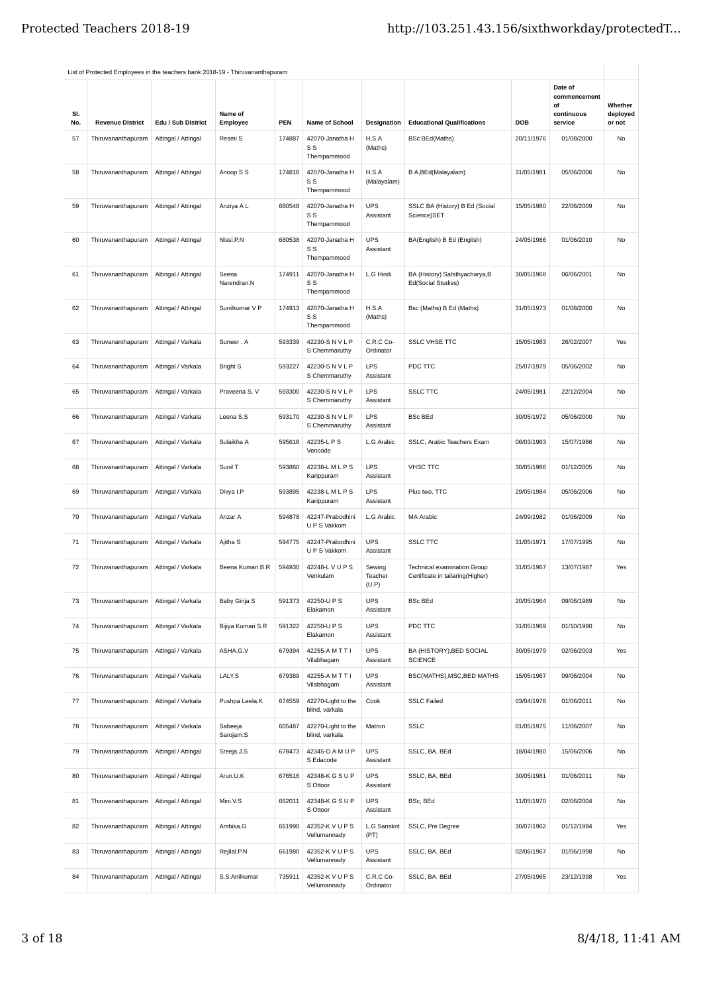| SI.<br>No. | <b>Revenue District</b> | Edu / Sub District  | Name of<br>Employee  | <b>PEN</b> | Name of School                        | Designation                | <b>Educational Qualifications</b>                                      | DOB        | Date of<br>commencement<br>of<br>continuous<br>service | Whether<br>deployed<br>or not |
|------------|-------------------------|---------------------|----------------------|------------|---------------------------------------|----------------------------|------------------------------------------------------------------------|------------|--------------------------------------------------------|-------------------------------|
| 57         | Thiruvananthapuram      | Attingal / Attingal | Resmi S              | 174887     | 42070-Janatha H<br>S S<br>Thempammood | H.S.A<br>(Maths)           | <b>BSc BEd(Maths)</b>                                                  | 20/11/1976 | 01/08/2000                                             | No                            |
| 58         | Thiruvananthapuram      | Attingal / Attingal | Anoop S S            | 174816     | 42070-Janatha H<br>S S<br>Thempammood | H.S.A<br>(Malayalam)       | B A, BEd (Malayalam)                                                   | 31/05/1981 | 05/06/2006                                             | No                            |
| 59         | Thiruvananthapuram      | Attingal / Attingal | Anziya A L           | 680548     | 42070-Janatha H<br>S S<br>Thempammood | <b>UPS</b><br>Assistant    | SSLC BA (History) B Ed (Social<br>Science)SET                          | 15/05/1980 | 22/06/2009                                             | No                            |
| 60         | Thiruvananthapuram      | Attingal / Attingal | Nissi.P.N            | 680538     | 42070-Janatha H<br>S S<br>Thempammood | <b>UPS</b><br>Assistant    | BA(English) B Ed (English)                                             | 24/05/1986 | 01/06/2010                                             | No                            |
| 61         | Thiruvananthapuram      | Attingal / Attingal | Seena<br>Narendran.N | 174911     | 42070-Janatha H<br>S S<br>Thempammood | L.G Hindi                  | BA (History) Sahithyacharya, B<br>Ed(Social Studies)                   | 30/05/1968 | 06/06/2001                                             | No                            |
| 62         | Thiruvananthapuram      | Attingal / Attingal | Sunilkumar V P       | 174913     | 42070-Janatha H<br>S S<br>Thempammood | H.S.A<br>(Maths)           | Bsc (Maths) B Ed (Maths)                                               | 31/05/1973 | 01/08/2000                                             | No                            |
| 63         | Thiruvananthapuram      | Attingal / Varkala  | Suneer . A           | 593339     | 42230-S N V L P<br>S Chemmaruthy      | C.R.C Co-<br>Ordinator     | <b>SSLC VHSE TTC</b>                                                   | 15/05/1983 | 26/02/2007                                             | Yes                           |
| 64         | Thiruvananthapuram      | Attingal / Varkala  | <b>Bright S</b>      | 593227     | 42230-S N V L P<br>S Chemmaruthy      | LPS<br>Assistant           | PDC TTC                                                                | 25/07/1979 | 05/06/2002                                             | No                            |
| 65         | Thiruvananthapuram      | Attingal / Varkala  | Praveena S. V        | 593300     | 42230-S N V L P<br>S Chemmaruthy      | LPS<br>Assistant           | <b>SSLC TTC</b>                                                        | 24/05/1981 | 22/12/2004                                             | No                            |
| 66         | Thiruvananthapuram      | Attingal / Varkala  | Leena S.S            | 593170     | 42230-S N V L P<br>S Chemmaruthy      | LPS<br>Assistant           | <b>BSc BEd</b>                                                         | 30/05/1972 | 05/06/2000                                             | No                            |
| 67         | Thiruvananthapuram      | Attingal / Varkala  | Sulaikha A           | 595618     | 42235-L P S<br>Vencode                | L.G Arabic                 | SSLC, Arabic Teachers Exam                                             | 06/03/1963 | 15/07/1986                                             | No                            |
| 68         | Thiruvananthapuram      | Attingal / Varkala  | Sunil T              | 593860     | 42238-L M L P S<br>Karippuram         | LPS<br>Assistant           | <b>VHSC TTC</b>                                                        | 30/05/1986 | 01/12/2005                                             | No                            |
| 69         | Thiruvananthapuram      | Attingal / Varkala  | Divya I.P            | 593895     | 42238-L M L P S<br>Karippuram         | LPS<br>Assistant           | Plus two, TTC                                                          | 29/05/1984 | 05/06/2006                                             | No                            |
| 70         | Thiruvananthapuram      | Attingal / Varkala  | Anzar A              | 594878     | 42247-Prabodhini<br>U P S Vakkom      | L.G Arabic                 | <b>MA Arabic</b>                                                       | 24/09/1982 | 01/06/2009                                             | No                            |
| 71         | Thiruvananthapuram      | Attingal / Varkala  | Ajitha S             | 594775     | 42247-Prabodhini<br>U P S Vakkom      | <b>UPS</b><br>Assistant    | <b>SSLC TTC</b>                                                        | 31/05/1971 | 17/07/1995                                             | No                            |
| 72         | Thiruvananthapuram      | Attingal / Varkala  | Beena Kumari.B.R     | 594930     | 42248-L V U P S<br>Venkulam           | Sewing<br>Teacher<br>(U.P) | <b>Technical examination Group</b><br>Certificate in tailaring(Higher) | 31/05/1967 | 13/07/1987                                             | Yes                           |
| 73         | Thiruvananthapuram      | Attingal / Varkala  | Baby Girija S        | 591373     | 42250-U P S<br>Elakamon               | <b>UPS</b><br>Assistant    | <b>BSc BEd</b>                                                         | 20/05/1964 | 09/06/1989                                             | No                            |
| 74         | Thiruvananthapuram      | Attingal / Varkala  | Bijiya Kumari S.R    | 591322     | 42250-U P S<br>Elakamon               | <b>UPS</b><br>Assistant    | PDC TTC                                                                | 31/05/1969 | 01/10/1990                                             | No                            |
| 75         | Thiruvananthapuram      | Attingal / Varkala  | ASHA.G.V             | 679394     | 42255-A M T T I<br>Vilabhaqam         | <b>UPS</b><br>Assistant    | BA (HISTORY), BED SOCIAL<br><b>SCIENCE</b>                             | 30/05/1979 | 02/06/2003                                             | Yes                           |
| 76         | Thiruvananthapuram      | Attingal / Varkala  | LALY.S               | 679389     | 42255-A M T T I<br>Vilabhagam         | <b>UPS</b><br>Assistant    | BSC(MATHS), MSC, BED MATHS                                             | 15/05/1967 | 09/06/2004                                             | No                            |
| 77         | Thiruvananthapuram      | Attingal / Varkala  | Pushpa Leela.K       | 674559     | 42270-Light to the<br>blind, varkala  | Cook                       | <b>SSLC Failed</b>                                                     | 03/04/1976 | 01/06/2011                                             | No                            |
| 78         | Thiruvananthapuram      | Attingal / Varkala  | Sabeeja<br>Sarojam.S | 605487     | 42270-Light to the<br>blind, varkala  | Matron                     | <b>SSLC</b>                                                            | 01/05/1975 | 11/06/2007                                             | No                            |
| 79         | Thiruvananthapuram      | Attingal / Attingal | Sreeja.J.S           | 678473     | 42345-D A M U P<br>S Edacode          | <b>UPS</b><br>Assistant    | SSLC, BA, BEd                                                          | 18/04/1980 | 15/06/2006                                             | No                            |
| 80         | Thiruvananthapuram      | Attingal / Attingal | Arun.U.K             | 676516     | 42348-K G S U P<br>S Ottoor           | <b>UPS</b><br>Assistant    | SSLC, BA, BEd                                                          | 30/05/1981 | 01/06/2011                                             | No                            |
| 81         | Thiruvananthapuram      | Attingal / Attingal | Mini.V.S             | 662011     | 42348-K G S U P<br>S Ottoor           | <b>UPS</b><br>Assistant    | BSc, BEd                                                               | 11/05/1970 | 02/06/2004                                             | No                            |
| 82         | Thiruvananthapuram      | Attingal / Attingal | Ambika.G             | 661990     | 42352-K V U P S<br>Vellumannady       | L.G Sanskrit<br>(PT)       | SSLC, Pre Degree                                                       | 30/07/1962 | 01/12/1994                                             | Yes                           |
| 83         | Thiruvananthapuram      | Attingal / Attingal | Rejilal.P.N          | 661980     | 42352-K V U P S<br>Vellumannady       | <b>UPS</b><br>Assistant    | SSLC, BA, BEd                                                          | 02/06/1967 | 01/06/1998                                             | No                            |
| 84         | Thiruvananthapuram      | Attingal / Attingal | S.S.Anilkumar        | 735911     | 42352-K V U P S<br>Vellumannady       | C.R.C Co-<br>Ordinator     | SSLC, BA. BEd                                                          | 27/05/1965 | 23/12/1998                                             | Yes                           |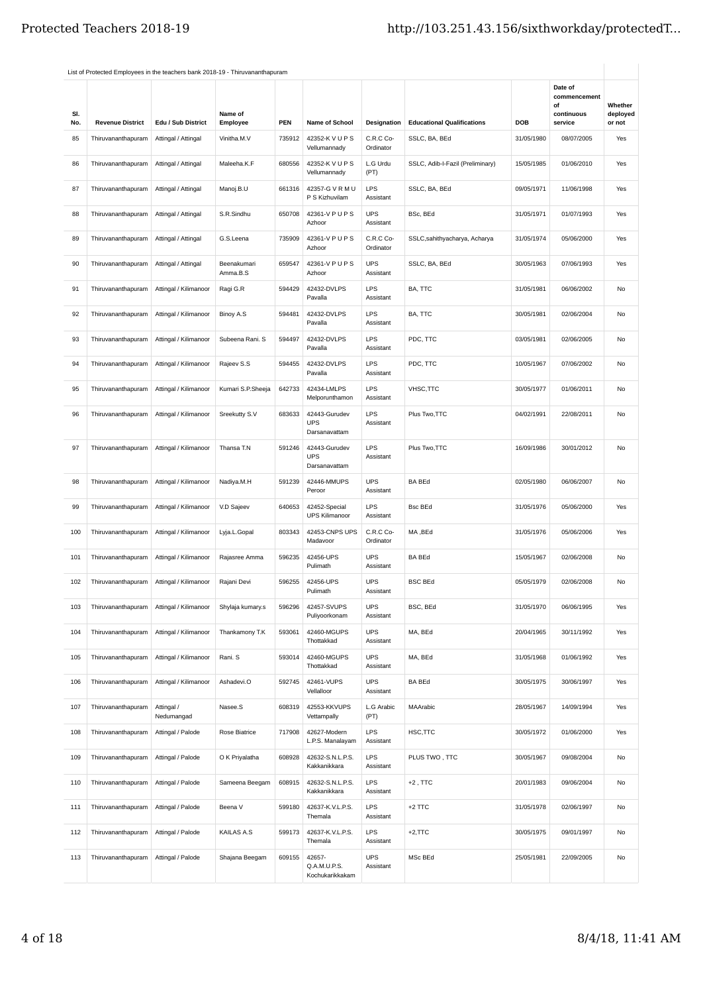| SI.<br>No. | <b>Revenue District</b> | Edu / Sub District       | Name of<br>Employee     | <b>PEN</b> | Name of School                               | Designation             | <b>Educational Qualifications</b> | DOB        | Date of<br>commencement<br>οf<br>continuous<br>service | Whether<br>deployed<br>or not |
|------------|-------------------------|--------------------------|-------------------------|------------|----------------------------------------------|-------------------------|-----------------------------------|------------|--------------------------------------------------------|-------------------------------|
| 85         | Thiruvananthapuram      | Attingal / Attingal      | Vinitha.M.V             | 735912     | 42352-K V U P S<br>Vellumannady              | C.R.C Co-<br>Ordinator  | SSLC, BA, BEd                     | 31/05/1980 | 08/07/2005                                             | Yes                           |
| 86         | Thiruvananthapuram      | Attingal / Attingal      | Maleeha.K.F             | 680556     | 42352-K V U P S<br>Vellumannady              | L.G Urdu<br>(PT)        | SSLC, Adib-I-Fazil (Preliminary)  | 15/05/1985 | 01/06/2010                                             | Yes                           |
| 87         | Thiruvananthapuram      | Attingal / Attingal      | Manoj.B.U               | 661316     | 42357-G V R M U<br>P S Kizhuvilam            | <b>LPS</b><br>Assistant | SSLC, BA, BEd                     | 09/05/1971 | 11/06/1998                                             | Yes                           |
| 88         | Thiruvananthapuram      | Attingal / Attingal      | S.R.Sindhu              | 650708     | 42361-V P U P S<br>Azhoor                    | <b>UPS</b><br>Assistant | BSc, BEd                          | 31/05/1971 | 01/07/1993                                             | Yes                           |
| 89         | Thiruvananthapuram      | Attingal / Attingal      | G.S.Leena               | 735909     | 42361-V P U P S<br>Azhoor                    | C.R.C Co-<br>Ordinator  | SSLC,sahithyacharya, Acharya      | 31/05/1974 | 05/06/2000                                             | Yes                           |
| 90         | Thiruvananthapuram      | Attingal / Attingal      | Beenakumari<br>Amma.B.S | 659547     | 42361-V P U P S<br>Azhoor                    | <b>UPS</b><br>Assistant | SSLC, BA, BEd                     | 30/05/1963 | 07/06/1993                                             | Yes                           |
| 91         | Thiruvananthapuram      | Attingal / Kilimanoor    | Ragi G.R                | 594429     | 42432-DVLPS<br>Pavalla                       | LPS<br>Assistant        | BA, TTC                           | 31/05/1981 | 06/06/2002                                             | No                            |
| 92         | Thiruvananthapuram      | Attingal / Kilimanoor    | Binoy A.S               | 594481     | 42432-DVLPS<br>Pavalla                       | LPS<br>Assistant        | BA, TTC                           | 30/05/1981 | 02/06/2004                                             | No                            |
| 93         | Thiruvananthapuram      | Attingal / Kilimanoor    | Subeena Rani. S         | 594497     | 42432-DVLPS<br>Pavalla                       | LPS<br>Assistant        | PDC, TTC                          | 03/05/1981 | 02/06/2005                                             | No                            |
| 94         | Thiruvananthapuram      | Attingal / Kilimanoor    | Rajeev S.S              | 594455     | 42432-DVLPS<br>Pavalla                       | LPS<br>Assistant        | PDC, TTC                          | 10/05/1967 | 07/06/2002                                             | No                            |
| 95         | Thiruvananthapuram      | Attingal / Kilimanoor    | Kumari S.P.Sheeja       | 642733     | 42434-LMLPS<br>Melporunthamon                | LPS<br>Assistant        | VHSC,TTC                          | 30/05/1977 | 01/06/2011                                             | No                            |
| 96         | Thiruvananthapuram      | Attingal / Kilimanoor    | Sreekutty S.V           | 683633     | 42443-Gurudev<br><b>UPS</b><br>Darsanavattam | LPS<br>Assistant        | Plus Two, TTC                     | 04/02/1991 | 22/08/2011                                             | No                            |
| 97         | Thiruvananthapuram      | Attingal / Kilimanoor    | Thansa T.N              | 591246     | 42443-Gurudev<br><b>UPS</b><br>Darsanavattam | <b>LPS</b><br>Assistant | Plus Two, TTC                     | 16/09/1986 | 30/01/2012                                             | No                            |
| 98         | Thiruvananthapuram      | Attingal / Kilimanoor    | Nadiya.M.H              | 591239     | 42446-MMUPS<br>Peroor                        | <b>UPS</b><br>Assistant | <b>BA BEd</b>                     | 02/05/1980 | 06/06/2007                                             | No                            |
| 99         | Thiruvananthapuram      | Attingal / Kilimanoor    | V.D Sajeev              | 640653     | 42452-Special<br><b>UPS Kilimanoor</b>       | LPS<br>Assistant        | <b>Bsc BEd</b>                    | 31/05/1976 | 05/06/2000                                             | Yes                           |
| 100        | Thiruvananthapuram      | Attingal / Kilimanoor    | Lyja.L.Gopal            | 803343     | 42453-CNPS UPS<br>Madavoor                   | C.R.C Co-<br>Ordinator  | MA, BEd                           | 31/05/1976 | 05/06/2006                                             | Yes                           |
| 101        | Thiruvananthapuram      | Attingal / Kilimanoor    | Rajasree Amma           | 596235     | 42456-UPS<br>Pulimath                        | <b>UPS</b><br>Assistant | <b>BA BEd</b>                     | 15/05/1967 | 02/06/2008                                             | No                            |
| 102        | Thiruvananthapuram      | Attingal / Kilimanoor    | Rajani Devi             | 596255     | 42456-UPS<br>Pulimath                        | <b>UPS</b><br>Assistant | <b>BSC BEd</b>                    | 05/05/1979 | 02/06/2008                                             | No                            |
| 103        | Thiruvananthapuram      | Attingal / Kilimanoor    | Shylaja kumary.s        | 596296     | 42457-SVUPS<br>Puliyoorkonam                 | <b>UPS</b><br>Assistant | BSC, BEd                          | 31/05/1970 | 06/06/1995                                             | Yes                           |
| 104        | Thiruvananthapuram      | Attingal / Kilimanoor    | Thankamony T.K          | 593061     | 42460-MGUPS<br>Thottakkad                    | <b>UPS</b><br>Assistant | MA, BEd                           | 20/04/1965 | 30/11/1992                                             | Yes                           |
| 105        | Thiruvananthapuram      | Attingal / Kilimanoor    | Rani. S                 | 593014     | 42460-MGUPS<br>Thottakkad                    | <b>UPS</b><br>Assistant | MA, BEd                           | 31/05/1968 | 01/06/1992                                             | Yes                           |
| 106        | Thiruvananthapuram      | Attingal / Kilimanoor    | Ashadevi.O              | 592745     | 42461-VUPS<br>Vellalloor                     | UPS<br>Assistant        | <b>BA BEd</b>                     | 30/05/1975 | 30/06/1997                                             | Yes                           |
| 107        | Thiruvananthapuram      | Attingal /<br>Nedumangad | Nasee.S                 | 608319     | 42553-KKVUPS<br>Vettampally                  | L.G Arabic<br>(PT)      | MAArabic                          | 28/05/1967 | 14/09/1994                                             | Yes                           |
| 108        | Thiruvananthapuram      | Attingal / Palode        | Rose Biatrice           | 717908     | 42627-Modern<br>L.P.S. Manalayam             | <b>LPS</b><br>Assistant | HSC,TTC                           | 30/05/1972 | 01/06/2000                                             | Yes                           |
| 109        | Thiruvananthapuram      | Attingal / Palode        | O K Priyalatha          | 608928     | 42632-S.N.L.P.S.<br>Kakkanikkara             | LPS<br>Assistant        | PLUS TWO, TTC                     | 30/05/1967 | 09/08/2004                                             | No                            |
| 110        | Thiruvananthapuram      | Attingal / Palode        | Sameena Beegam          | 608915     | 42632-S.N.L.P.S.<br>Kakkanikkara             | LPS<br>Assistant        | $+2$ , TTC                        | 20/01/1983 | 09/06/2004                                             | No                            |
| 111        | Thiruvananthapuram      | Attingal / Palode        | Beena V                 | 599180     | 42637-K.V.L.P.S.<br>Themala                  | LPS<br>Assistant        | +2 TTC                            | 31/05/1978 | 02/06/1997                                             | No                            |
| 112        | Thiruvananthapuram      | Attingal / Palode        | <b>KAILAS A.S</b>       | 599173     | 42637-K.V.L.P.S.<br>Themala                  | LPS<br>Assistant        | $+2,$ TTC                         | 30/05/1975 | 09/01/1997                                             | No                            |
| 113        | Thiruvananthapuram      | Attingal / Palode        | Shajana Beegam          | 609155     | 42657-<br>Q.A.M.U.P.S.<br>Kochukarikkakam    | <b>UPS</b><br>Assistant | MSc BEd                           | 25/05/1981 | 22/09/2005                                             | No                            |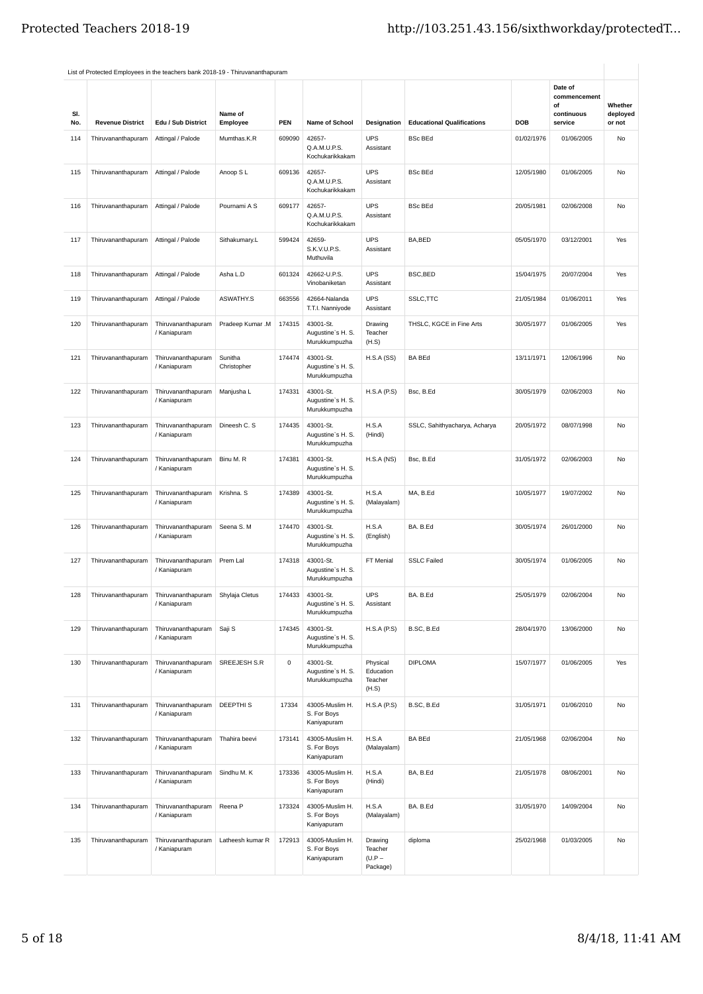| SI.<br>No. | <b>Revenue District</b> | Edu / Sub District                 | Name of<br>Employee    | <b>PEN</b> | Name of School                                  | Designation                                | <b>Educational Qualifications</b> | <b>DOB</b> | Date of<br>commencement<br>of<br>continuous<br>service | Whether<br>deployed<br>or not |
|------------|-------------------------|------------------------------------|------------------------|------------|-------------------------------------------------|--------------------------------------------|-----------------------------------|------------|--------------------------------------------------------|-------------------------------|
| 114        | Thiruvananthapuram      | Attingal / Palode                  | Mumthas.K.R            | 609090     | 42657-<br>Q.A.M.U.P.S.<br>Kochukarikkakam       | <b>UPS</b><br>Assistant                    | <b>BSc BEd</b>                    | 01/02/1976 | 01/06/2005                                             | No                            |
| 115        | Thiruvananthapuram      | Attingal / Palode                  | Anoop S L              | 609136     | 42657-<br>Q.A.M.U.P.S.<br>Kochukarikkakam       | <b>UPS</b><br>Assistant                    | <b>BSc BEd</b>                    | 12/05/1980 | 01/06/2005                                             | No                            |
| 116        | Thiruvananthapuram      | Attingal / Palode                  | Pournami A S           | 609177     | 42657-<br>Q.A.M.U.P.S.<br>Kochukarikkakam       | <b>UPS</b><br>Assistant                    | <b>BSc BEd</b>                    | 20/05/1981 | 02/06/2008                                             | No                            |
| 117        | Thiruvananthapuram      | Attingal / Palode                  | Sithakumary.L          | 599424     | 42659-<br>S.K.V.U.P.S.<br>Muthuvila             | <b>UPS</b><br>Assistant                    | BA, BED                           | 05/05/1970 | 03/12/2001                                             | Yes                           |
| 118        | Thiruvananthapuram      | Attingal / Palode                  | Asha L.D               | 601324     | 42662-U.P.S.<br>Vinobaniketan                   | <b>UPS</b><br>Assistant                    | BSC, BED                          | 15/04/1975 | 20/07/2004                                             | Yes                           |
| 119        | Thiruvananthapuram      | Attingal / Palode                  | ASWATHY.S              | 663556     | 42664-Nalanda<br>T.T.I. Nanniyode               | <b>UPS</b><br>Assistant                    | SSLC, TTC                         | 21/05/1984 | 01/06/2011                                             | Yes                           |
| 120        | Thiruvananthapuram      | Thiruvananthapuram<br>/ Kaniapuram | Pradeep Kumar .M       | 174315     | 43001-St.<br>Augustine's H. S.<br>Murukkumpuzha | Drawing<br>Teacher<br>(H.S)                | THSLC, KGCE in Fine Arts          | 30/05/1977 | 01/06/2005                                             | Yes                           |
| 121        | Thiruvananthapuram      | Thiruvananthapuram<br>/ Kaniapuram | Sunitha<br>Christopher | 174474     | 43001-St.<br>Augustine's H. S.<br>Murukkumpuzha | H.S.A(SS)                                  | <b>BA BEd</b>                     | 13/11/1971 | 12/06/1996                                             | No                            |
| 122        | Thiruvananthapuram      | Thiruvananthapuram<br>/ Kaniapuram | Manjusha L             | 174331     | 43001-St.<br>Augustine's H. S.<br>Murukkumpuzha | H.S.A(P.S)                                 | Bsc, B.Ed                         | 30/05/1979 | 02/06/2003                                             | No                            |
| 123        | Thiruvananthapuram      | Thiruvananthapuram<br>/ Kaniapuram | Dineesh C. S           | 174435     | 43001-St.<br>Augustine's H. S.<br>Murukkumpuzha | H.S.A<br>(Hindi)                           | SSLC, Sahithyacharya, Acharya     | 20/05/1972 | 08/07/1998                                             | No                            |
| 124        | Thiruvananthapuram      | Thiruvananthapuram<br>/ Kaniapuram | Binu M. R              | 174381     | 43001-St.<br>Augustine's H. S.<br>Murukkumpuzha | H.S.A(NS)                                  | Bsc, B.Ed                         | 31/05/1972 | 02/06/2003                                             | No                            |
| 125        | Thiruvananthapuram      | Thiruvananthapuram<br>/ Kaniapuram | Krishna. S             | 174389     | 43001-St.<br>Augustine's H. S.<br>Murukkumpuzha | H.S.A<br>(Malayalam)                       | MA, B.Ed                          | 10/05/1977 | 19/07/2002                                             | No                            |
| 126        | Thiruvananthapuram      | Thiruvananthapuram<br>/ Kaniapuram | Seena S. M             | 174470     | 43001-St.<br>Augustine's H. S.<br>Murukkumpuzha | H.S.A<br>(English)                         | BA. B.Ed                          | 30/05/1974 | 26/01/2000                                             | No                            |
| 127        | Thiruvananthapuram      | Thiruvananthapuram<br>/ Kaniapuram | Prem Lal               | 174318     | 43001-St.<br>Augustine's H. S.<br>Murukkumpuzha | FT Menial                                  | <b>SSLC Failed</b>                | 30/05/1974 | 01/06/2005                                             | No                            |
| 128        | Thiruvananthapuram      | Thiruvananthapuram<br>/ Kaniapuram | Shylaja Cletus         | 174433     | 43001-St.<br>Augustine's H. S.<br>Murukkumpuzha | <b>UPS</b><br>Assistant                    | BA. B.Ed                          | 25/05/1979 | 02/06/2004                                             | No                            |
| 129        | Thiruvananthapuram      | Thiruvananthapuram<br>/ Kaniapuram | Saji S                 | 174345     | 43001-St.<br>Augustine's H. S.<br>Murukkumpuzha | H.S.A(P.S)                                 | B.SC, B.Ed                        | 28/04/1970 | 13/06/2000                                             | No                            |
| 130        | Thiruvananthapuram      | Thiruvananthapuram<br>/ Kaniapuram | SREEJESH S.R           | 0          | 43001-St.<br>Augustine's H. S.<br>Murukkumpuzha | Physical<br>Education<br>Teacher<br>(H.S)  | <b>DIPLOMA</b>                    | 15/07/1977 | 01/06/2005                                             | Yes                           |
| 131        | Thiruvananthapuram      | Thiruvananthapuram<br>/ Kaniapuram | DEEPTHI <sub>S</sub>   | 17334      | 43005-Muslim H.<br>S. For Boys<br>Kaniyapuram   | <b>H.S.A (P.S)</b>                         | B.SC, B.Ed                        | 31/05/1971 | 01/06/2010                                             | No                            |
| 132        | Thiruvananthapuram      | Thiruvananthapuram<br>/ Kaniapuram | Thahira beevi          | 173141     | 43005-Muslim H.<br>S. For Boys<br>Kaniyapuram   | H.S.A<br>(Malayalam)                       | <b>BA BEd</b>                     | 21/05/1968 | 02/06/2004                                             | No                            |
| 133        | Thiruvananthapuram      | Thiruvananthapuram<br>/ Kaniapuram | Sindhu M. K            | 173336     | 43005-Muslim H.<br>S. For Boys<br>Kaniyapuram   | H.S.A<br>(Hindi)                           | BA, B.Ed                          | 21/05/1978 | 08/06/2001                                             | No                            |
| 134        | Thiruvananthapuram      | Thiruvananthapuram<br>/ Kaniapuram | Reena P                | 173324     | 43005-Muslim H.<br>S. For Boys<br>Kaniyapuram   | H.S.A<br>(Malayalam)                       | BA. B.Ed                          | 31/05/1970 | 14/09/2004                                             | No                            |
| 135        | Thiruvananthapuram      | Thiruvananthapuram<br>/ Kaniapuram | Latheesh kumar R       | 172913     | 43005-Muslim H.<br>S. For Boys<br>Kaniyapuram   | Drawing<br>Teacher<br>$(U.P -$<br>Package) | diploma                           | 25/02/1968 | 01/03/2005                                             | No                            |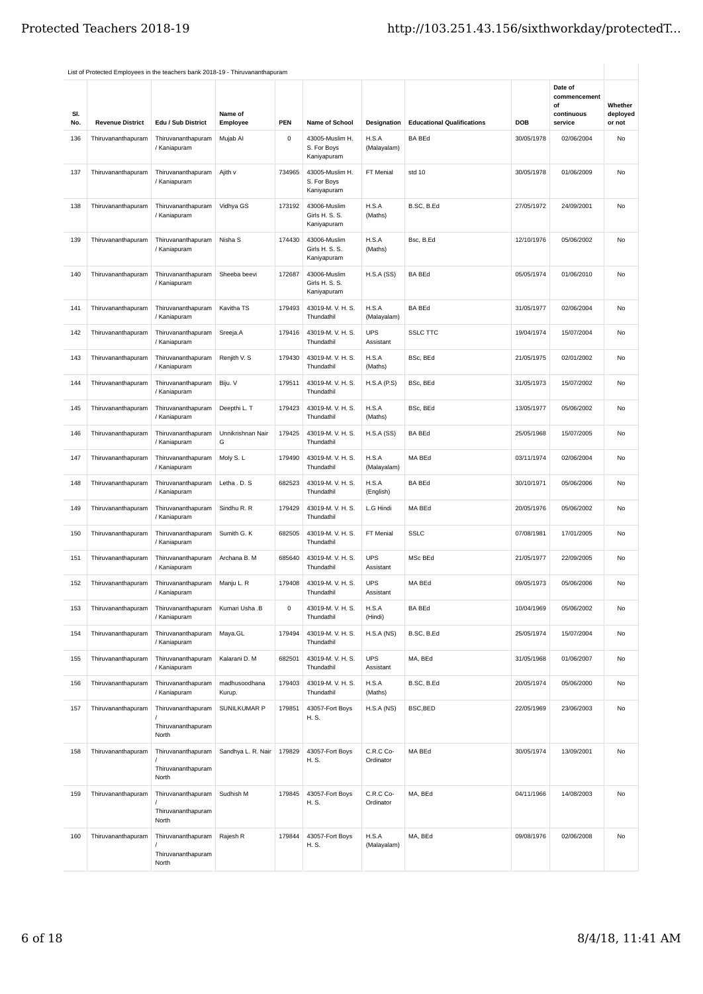|            | List of Protected Employees in the teachers bank 2018-19 - Thiruvananthapuram |                                                            |                         |           |                                               |                         |                                   |            |                               |                    |
|------------|-------------------------------------------------------------------------------|------------------------------------------------------------|-------------------------|-----------|-----------------------------------------------|-------------------------|-----------------------------------|------------|-------------------------------|--------------------|
|            |                                                                               |                                                            |                         |           |                                               |                         |                                   |            | Date of<br>commencement<br>οf | Whether            |
| SI.<br>No. | <b>Revenue District</b>                                                       | Edu / Sub District                                         | Name of<br>Employee     | PEN       | Name of School                                | Designation             | <b>Educational Qualifications</b> | DOB        | continuous<br>service         | deployed<br>or not |
| 136        | Thiruvananthapuram                                                            | Thiruvananthapuram<br>/ Kaniapuram                         | Mujab Al                | $\pmb{0}$ | 43005-Muslim H.<br>S. For Boys<br>Kaniyapuram | H.S.A<br>(Malayalam)    | <b>BA BEd</b>                     | 30/05/1978 | 02/06/2004                    | No                 |
| 137        | Thiruvananthapuram                                                            | Thiruvananthapuram<br>/ Kaniapuram                         | Ajith v                 | 734965    | 43005-Muslim H.<br>S. For Boys<br>Kaniyapuram | FT Menial               | std 10                            | 30/05/1978 | 01/06/2009                    | No                 |
| 138        | Thiruvananthapuram                                                            | Thiruvananthapuram<br>/ Kaniapuram                         | Vidhya GS               | 173192    | 43006-Muslim<br>Girls H. S. S.<br>Kaniyapuram | H.S.A<br>(Maths)        | B.SC. B.Ed                        | 27/05/1972 | 24/09/2001                    | No                 |
| 139        | Thiruvananthapuram                                                            | Thiruvananthapuram<br>/ Kaniapuram                         | Nisha S                 | 174430    | 43006-Muslim<br>Girls H. S. S.<br>Kaniyapuram | H.S.A<br>(Maths)        | Bsc, B.Ed                         | 12/10/1976 | 05/06/2002                    | No                 |
| 140        | Thiruvananthapuram                                                            | Thiruvananthapuram<br>/ Kaniapuram                         | Sheeba beevi            | 172687    | 43006-Muslim<br>Girls H. S. S.<br>Kaniyapuram | H.S.A(SS)               | <b>BA BEd</b>                     | 05/05/1974 | 01/06/2010                    | No                 |
| 141        | Thiruvananthapuram                                                            | Thiruvananthapuram<br>/ Kaniapuram                         | Kavitha TS              | 179493    | 43019-M. V. H. S.<br>Thundathil               | H.S.A<br>(Malayalam)    | <b>BA BEd</b>                     | 31/05/1977 | 02/06/2004                    | No                 |
| 142        | Thiruvananthapuram                                                            | Thiruvananthapuram<br>/ Kaniapuram                         | Sreeja.A                | 179416    | 43019-M. V. H. S.<br>Thundathil               | <b>UPS</b><br>Assistant | <b>SSLC TTC</b>                   | 19/04/1974 | 15/07/2004                    | No                 |
| 143        | Thiruvananthapuram                                                            | Thiruvananthapuram<br>/ Kaniapuram                         | Renjith V. S            | 179430    | 43019-M. V. H. S.<br>Thundathil               | H.S.A<br>(Maths)        | BSc, BEd                          | 21/05/1975 | 02/01/2002                    | No                 |
| 144        | Thiruvananthapuram                                                            | Thiruvananthapuram<br>/ Kaniapuram                         | Biju. V                 | 179511    | 43019-M.V.H.S.<br>Thundathil                  | <b>H.S.A (P.S)</b>      | BSc, BEd                          | 31/05/1973 | 15/07/2002                    | No                 |
| 145        | Thiruvananthapuram                                                            | Thiruvananthapuram<br>/ Kaniapuram                         | Deepthi L. T            | 179423    | 43019-M. V. H. S.<br>Thundathil               | H.S.A<br>(Maths)        | BSc, BEd                          | 13/05/1977 | 05/06/2002                    | No                 |
| 146        | Thiruvananthapuram                                                            | Thiruvananthapuram<br>/ Kaniapuram                         | Unnikrishnan Nair<br>G  | 179425    | 43019-M.V.H.S.<br>Thundathil                  | H.S.A(SS)               | <b>BA BEd</b>                     | 25/05/1968 | 15/07/2005                    | No                 |
| 147        | Thiruvananthapuram                                                            | Thiruvananthapuram<br>/ Kaniapuram                         | Moly S.L                | 179490    | 43019-M. V. H. S.<br>Thundathil               | H.S.A<br>(Malayalam)    | MA BEd                            | 03/11/1974 | 02/06/2004                    | No                 |
| 148        | Thiruvananthapuram                                                            | Thiruvananthapuram<br>/ Kaniapuram                         | Letha . D. S            | 682523    | 43019-M. V. H. S.<br>Thundathil               | H.S.A<br>(English)      | <b>BA BEd</b>                     | 30/10/1971 | 05/06/2006                    | No                 |
| 149        | Thiruvananthapuram                                                            | Thiruvananthapuram<br>/ Kaniapuram                         | Sindhu R. R             | 179429    | 43019-M. V. H. S.<br>Thundathil               | L.G Hindi               | MA BEd                            | 20/05/1976 | 05/06/2002                    | No                 |
| 150        | Thiruvananthapuram                                                            | Thiruvananthapuram<br>/ Kaniapuram                         | Sumith G. K             | 682505    | 43019-M.V.H.S.<br>Thundathil                  | FT Menial               | <b>SSLC</b>                       | 07/08/1981 | 17/01/2005                    | No                 |
| 151        | Thiruvananthapuram                                                            | Thiruvananthapuram<br>/ Kaniapuram                         | Archana B. M            | 685640    | 43019-M. V. H. S.<br>Thundathil               | <b>UPS</b><br>Assistant | MSc BEd                           | 21/05/1977 | 22/09/2005                    | No                 |
| 152        | Thiruvananthapuram                                                            | Thiruvananthapuram<br>/ Kaniapuram                         | Manju L. R              | 179408    | 43019-M. V. H. S.<br>Thundathil               | <b>UPS</b><br>Assistant | MA BEd                            | 09/05/1973 | 05/06/2006                    | No                 |
| 153        | Thiruvananthapuram                                                            | Thiruvananthapuram<br>/ Kaniapuram                         | Kumari Usha .B          | 0         | 43019-M. V. H. S.<br>Thundathil               | H.S.A<br>(Hindi)        | <b>BA BEd</b>                     | 10/04/1969 | 05/06/2002                    | No                 |
| 154        | Thiruvananthapuram                                                            | Thiruvananthapuram<br>/ Kaniapuram                         | Maya.GL                 | 179494    | 43019-M.V.H.S.<br>Thundathil                  | H.S.A(NS)               | B.SC, B.Ed                        | 25/05/1974 | 15/07/2004                    | No                 |
| 155        | Thiruvananthapuram                                                            | Thiruvananthapuram<br>/ Kaniapuram                         | Kalarani D. M           | 682501    | 43019-M.V.H.S.<br>Thundathil                  | <b>UPS</b><br>Assistant | MA, BEd                           | 31/05/1968 | 01/06/2007                    | No                 |
| 156        | Thiruvananthapuram                                                            | Thiruvananthapuram<br>/ Kaniapuram                         | madhusoodhana<br>Kurup. | 179403    | 43019-M.V.H.S.<br>Thundathil                  | H.S.A<br>(Maths)        | B.SC, B.Ed                        | 20/05/1974 | 05/06/2000                    | No                 |
| 157        | Thiruvananthapuram                                                            | Thiruvananthapuram<br>Thiruvananthapuram<br>North          | SUNILKUMAR P            | 179851    | 43057-Fort Boys<br>H. S.                      | H.S.A (NS)              | BSC, BED                          | 22/05/1969 | 23/06/2003                    | No                 |
| 158        | Thiruvananthapuram                                                            | Thiruvananthapuram<br>Thiruvananthapuram<br>North          | Sandhya L. R. Nair      | 179829    | 43057-Fort Boys<br>H. S.                      | C.R.C Co-<br>Ordinator  | MA BEd                            | 30/05/1974 | 13/09/2001                    | No                 |
| 159        | Thiruvananthapuram                                                            | Thiruvananthapuram<br>Thiruvananthapuram                   | Sudhish M               | 179845    | 43057-Fort Boys<br>H. S.                      | C.R.C Co-<br>Ordinator  | MA, BEd                           | 04/11/1966 | 14/08/2003                    | No                 |
| 160        | Thiruvananthapuram                                                            | North<br>Thiruvananthapuram<br>Thiruvananthapuram<br>North | Rajesh R                | 179844    | 43057-Fort Boys<br>H. S.                      | H.S.A<br>(Malayalam)    | MA, BEd                           | 09/08/1976 | 02/06/2008                    | No                 |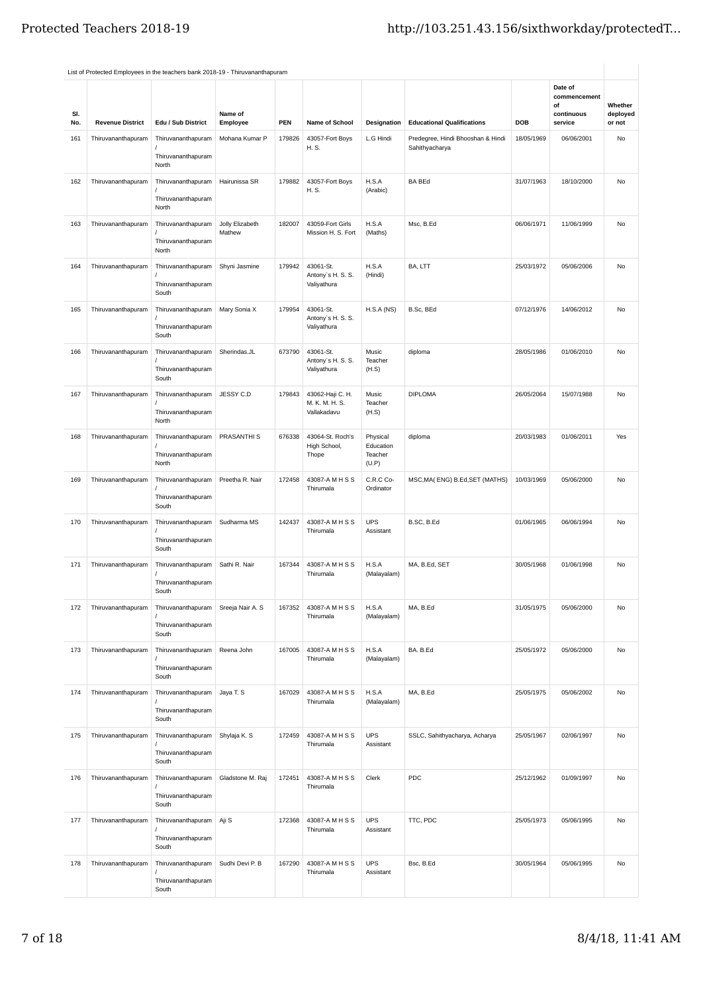|            | List of Protected Employees in the teachers bank 2018-19 - Thiruvananthapuram |                                                         |                           |            |                                                   |                                           |                                                     |            | Date of<br>commencement     |                               |
|------------|-------------------------------------------------------------------------------|---------------------------------------------------------|---------------------------|------------|---------------------------------------------------|-------------------------------------------|-----------------------------------------------------|------------|-----------------------------|-------------------------------|
| SI.<br>No. | <b>Revenue District</b>                                                       | Edu / Sub District                                      | Name of<br>Employee       | <b>PEN</b> | <b>Name of School</b>                             | Designation                               | <b>Educational Qualifications</b>                   | DOB        | οf<br>continuous<br>service | Whether<br>deployed<br>or not |
| 161        | Thiruvananthapuram                                                            | Thiruvananthapuram<br>Thiruvananthapuram<br>North       | Mohana Kumar P            | 179826     | 43057-Fort Boys<br>H. S.                          | L.G Hindi                                 | Predegree, Hindi Bhooshan & Hindi<br>Sahithyacharya | 18/05/1969 | 06/06/2001                  | No                            |
| 162        | Thiruvananthapuram                                                            | Thiruvananthapuram<br>Thiruvananthapuram<br>North       | Hairunissa SR             | 179882     | 43057-Fort Boys<br>H. S.                          | H.S.A<br>(Arabic)                         | <b>BA BEd</b>                                       | 31/07/1963 | 18/10/2000                  | No                            |
| 163        | Thiruvananthapuram                                                            | Thiruvananthapuram<br>Thiruvananthapuram<br>North       | Jolly Elizabeth<br>Mathew | 182007     | 43059-Fort Girls<br>Mission H. S. Fort            | H.S.A<br>(Maths)                          | Msc, B.Ed                                           | 06/06/1971 | 11/06/1999                  | No                            |
| 164        | Thiruvananthapuram                                                            | Thiruvananthapuram<br>Thiruvananthapuram<br>South       | Shyni Jasmine             | 179942     | 43061-St.<br>Antony's H. S. S.<br>Valiyathura     | H.S.A<br>(Hindi)                          | BA, LTT                                             | 25/03/1972 | 05/06/2006                  | No                            |
| 165        | Thiruvananthapuram                                                            | Thiruvananthapuram<br>Thiruvananthapuram<br>South       | Mary Sonia X              | 179954     | 43061-St.<br>Antony's H. S. S.<br>Valiyathura     | H.S.A(NS)                                 | B.Sc, BEd                                           | 07/12/1976 | 14/06/2012                  | No                            |
| 166        | Thiruvananthapuram                                                            | Thiruvananthapuram<br>Thiruvananthapuram<br>South       | Sherindas.JL              | 673790     | 43061-St.<br>Antony's H. S. S.<br>Valiyathura     | Music<br>Teacher<br>(H.S)                 | diploma                                             | 28/05/1986 | 01/06/2010                  | No                            |
| 167        | Thiruvananthapuram                                                            | Thiruvananthapuram<br>Thiruvananthapuram<br>North       | JESSY C.D                 | 179843     | 43062-Haji C. H.<br>M. K. M. H. S.<br>Vallakadavu | Music<br>Teacher<br>(H.S)                 | <b>DIPLOMA</b>                                      | 26/05/2064 | 15/07/1988                  | No                            |
| 168        | Thiruvananthapuram                                                            | Thiruvananthapuram<br>Thiruvananthapuram<br>North       | PRASANTHI S               | 676338     | 43064-St. Roch's<br>High School,<br>Thope         | Physical<br>Education<br>Teacher<br>(U.P) | diploma                                             | 20/03/1983 | 01/06/2011                  | Yes                           |
| 169        | Thiruvananthapuram                                                            | Thiruvananthapuram<br>Thiruvananthapuram<br>South       | Preetha R. Nair           | 172458     | 43087-AMHSS<br>Thirumala                          | C.R.C Co-<br>Ordinator                    | MSC, MA(ENG) B.Ed, SET (MATHS)                      | 10/03/1969 | 05/06/2000                  | No                            |
| 170        | Thiruvananthapuram                                                            | Thiruvananthapuram<br>Thiruvananthapuram<br>South       | Sudharma MS               | 142437     | 43087-AMHSS<br>Thirumala                          | <b>UPS</b><br>Assistant                   | B.SC, B.Ed                                          | 01/06/1965 | 06/06/1994                  | No                            |
| 171        | Thiruvananthapuram                                                            | Thiruvananthapuram<br>Thiruvananthapuram<br>South       | Sathi R. Nair             | 167344     | 43087-AMHSS<br>Thirumala                          | H.S.A<br>(Malayalam)                      | MA, B.Ed, SET                                       | 30/05/1968 | 01/06/1998                  | <b>No</b>                     |
| 172        | Thiruvananthapuram                                                            | Thiruvananthapuram<br>Thiruvananthapuram<br>South       | Sreeja Nair A. S          | 167352     | 43087-AMHSS<br>Thirumala                          | H.S.A<br>(Malayalam)                      | MA, B.Ed                                            | 31/05/1975 | 05/06/2000                  | No                            |
| 173        | Thiruvananthapuram                                                            | Thiruvananthapuram<br>Thiruvananthapuram<br>South       | Reena John                | 167005     | 43087-A M H S S<br>Thirumala                      | H.S.A<br>(Malayalam)                      | BA. B.Ed                                            | 25/05/1972 | 05/06/2000                  | <b>No</b>                     |
| 174        | Thiruvananthapuram                                                            | Thiruvananthapuram<br>Thiruvananthapuram<br>South       | Jaya T. S                 | 167029     | 43087-AMHSS<br>Thirumala                          | H.S.A<br>(Malayalam)                      | MA, B.Ed                                            | 25/05/1975 | 05/06/2002                  | No                            |
| 175        | Thiruvananthapuram                                                            | Thiruvananthapuram<br>Thiruvananthapuram<br>South       | Shylaja K. S              | 172459     | 43087-AMHSS<br>Thirumala                          | <b>UPS</b><br>Assistant                   | SSLC, Sahithyacharya, Acharya                       | 25/05/1967 | 02/06/1997                  | No                            |
| 176        | Thiruvananthapuram                                                            | Thiruvananthapuram<br>Thiruvananthapuram<br>South       | Gladstone M. Raj          | 172451     | 43087-AMHSS<br>Thirumala                          | Clerk                                     | PDC                                                 | 25/12/1962 | 01/09/1997                  | No                            |
| 177        | Thiruvananthapuram                                                            | Thiruvananthapuram Aji S<br>Thiruvananthapuram<br>South |                           | 172368     | 43087-AMHSS<br>Thirumala                          | <b>UPS</b><br>Assistant                   | TTC, PDC                                            | 25/05/1973 | 05/06/1995                  | No                            |
| 178        | Thiruvananthapuram                                                            | Thiruvananthapuram<br>Thiruvananthapuram<br>South       | Sudhi Devi P. B           | 167290     | 43087-AMHSS<br>Thirumala                          | <b>UPS</b><br>Assistant                   | Bsc, B.Ed                                           | 30/05/1964 | 05/06/1995                  | No                            |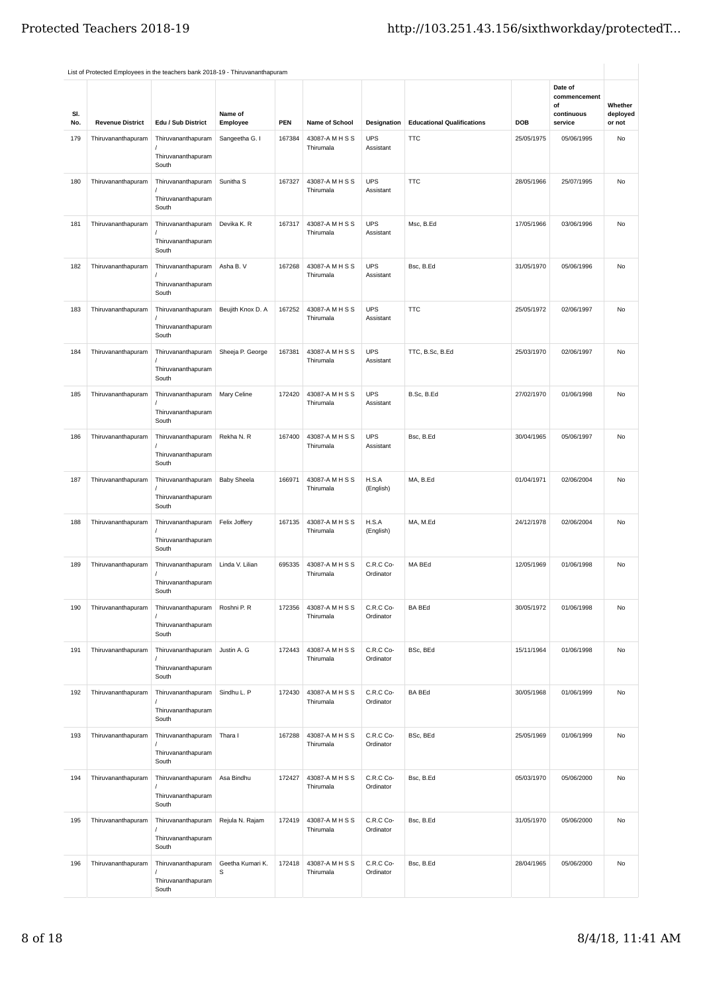| SI.<br>No. | <b>Revenue District</b> | Edu / Sub District                                | Name of<br>Employee   | <b>PEN</b> | Name of School               | Designation             | <b>Educational Qualifications</b> | DOB        | Date of<br>commencement<br>of<br>continuous<br>service | Whether<br>deployed<br>or not |
|------------|-------------------------|---------------------------------------------------|-----------------------|------------|------------------------------|-------------------------|-----------------------------------|------------|--------------------------------------------------------|-------------------------------|
| 179        | Thiruvananthapuram      | Thiruvananthapuram<br>Thiruvananthapuram<br>South | Sangeetha G. I        | 167384     | 43087-AMHSS<br>Thirumala     | <b>UPS</b><br>Assistant | <b>TTC</b>                        | 25/05/1975 | 05/06/1995                                             | No                            |
| 180        | Thiruvananthapuram      | Thiruvananthapuram<br>Thiruvananthapuram<br>South | Sunitha <sub>S</sub>  | 167327     | 43087-AMHSS<br>Thirumala     | <b>UPS</b><br>Assistant | <b>TTC</b>                        | 28/05/1966 | 25/07/1995                                             | No                            |
| 181        | Thiruvananthapuram      | Thiruvananthapuram<br>Thiruvananthapuram<br>South | Devika K. R           | 167317     | 43087-AMHSS<br>Thirumala     | <b>UPS</b><br>Assistant | Msc, B.Ed                         | 17/05/1966 | 03/06/1996                                             | No                            |
| 182        | Thiruvananthapuram      | Thiruvananthapuram<br>Thiruvananthapuram<br>South | Asha B. V             | 167268     | 43087-AMHSS<br>Thirumala     | <b>UPS</b><br>Assistant | Bsc, B.Ed                         | 31/05/1970 | 05/06/1996                                             | No                            |
| 183        | Thiruvananthapuram      | Thiruvananthapuram<br>Thiruvananthapuram<br>South | Beujith Knox D. A     | 167252     | 43087-AMHSS<br>Thirumala     | <b>UPS</b><br>Assistant | <b>TTC</b>                        | 25/05/1972 | 02/06/1997                                             | No                            |
| 184        | Thiruvananthapuram      | Thiruvananthapuram<br>Thiruvananthapuram<br>South | Sheeja P. George      | 167381     | 43087-AMHSS<br>Thirumala     | <b>UPS</b><br>Assistant | TTC, B.Sc, B.Ed                   | 25/03/1970 | 02/06/1997                                             | No                            |
| 185        | Thiruvananthapuram      | Thiruvananthapuram<br>Thiruvananthapuram<br>South | Mary Celine           | 172420     | 43087-AMHSS<br>Thirumala     | <b>UPS</b><br>Assistant | B.Sc, B.Ed                        | 27/02/1970 | 01/06/1998                                             | No                            |
| 186        | Thiruvananthapuram      | Thiruvananthapuram<br>Thiruvananthapuram<br>South | Rekha N. R            | 167400     | 43087-AMHSS<br>Thirumala     | <b>UPS</b><br>Assistant | Bsc, B.Ed                         | 30/04/1965 | 05/06/1997                                             | No                            |
| 187        | Thiruvananthapuram      | Thiruvananthapuram<br>Thiruvananthapuram<br>South | <b>Baby Sheela</b>    | 166971     | 43087-A M H S S<br>Thirumala | H.S.A<br>(English)      | MA, B.Ed                          | 01/04/1971 | 02/06/2004                                             | No                            |
| 188        | Thiruvananthapuram      | Thiruvananthapuram<br>Thiruvananthapuram<br>South | Felix Joffery         | 167135     | 43087-A M H S S<br>Thirumala | H.S.A<br>(English)      | MA, M.Ed                          | 24/12/1978 | 02/06/2004                                             | No                            |
| 189        | Thiruvananthapuram      | Thiruvananthapuram<br>Thiruvananthapuram<br>South | Linda V. Lilian       | 695335     | 43087-A M H S S<br>Thirumala | C.R.C Co-<br>Ordinator  | MA BEd                            | 12/05/1969 | 01/06/1998                                             | No                            |
| 190        | Thiruvananthapuram      | Thiruvananthapuram<br>Thiruvananthapuram<br>South | Roshni P. R           | 172356     | 43087-A M H S S<br>Thirumala | C.R.C Co-<br>Ordinator  | <b>BA BEd</b>                     | 30/05/1972 | 01/06/1998                                             | No                            |
| 191        | Thiruvananthapuram      | Thiruvananthapuram<br>Thiruvananthapuram<br>South | Justin A. G           | 172443     | 43087-A M H S S<br>Thirumala | C.R.C Co-<br>Ordinator  | BSc, BEd                          | 15/11/1964 | 01/06/1998                                             | No                            |
| 192        | Thiruvananthapuram      | Thiruvananthapuram<br>Thiruvananthapuram<br>South | Sindhu L. P           | 172430     | 43087-A M H S S<br>Thirumala | C.R.C Co-<br>Ordinator  | <b>BA BEd</b>                     | 30/05/1968 | 01/06/1999                                             | No                            |
| 193        | Thiruvananthapuram      | Thiruvananthapuram<br>Thiruvananthapuram<br>South | Thara I               | 167288     | 43087-A M H S S<br>Thirumala | C.R.C Co-<br>Ordinator  | BSc, BEd                          | 25/05/1969 | 01/06/1999                                             | No                            |
| 194        | Thiruvananthapuram      | Thiruvananthapuram<br>Thiruvananthapuram<br>South | Asa Bindhu            | 172427     | 43087-A M H S S<br>Thirumala | C.R.C Co-<br>Ordinator  | Bsc, B.Ed                         | 05/03/1970 | 05/06/2000                                             | No                            |
| 195        | Thiruvananthapuram      | Thiruvananthapuram<br>Thiruvananthapuram<br>South | Rejula N. Rajam       | 172419     | 43087-A M H S S<br>Thirumala | C.R.C Co-<br>Ordinator  | Bsc, B.Ed                         | 31/05/1970 | 05/06/2000                                             | No                            |
| 196        | Thiruvananthapuram      | Thiruvananthapuram<br>Thiruvananthapuram<br>South | Geetha Kumari K.<br>S | 172418     | 43087-AMHSS<br>Thirumala     | C.R.C Co-<br>Ordinator  | Bsc, B.Ed                         | 28/04/1965 | 05/06/2000                                             | No                            |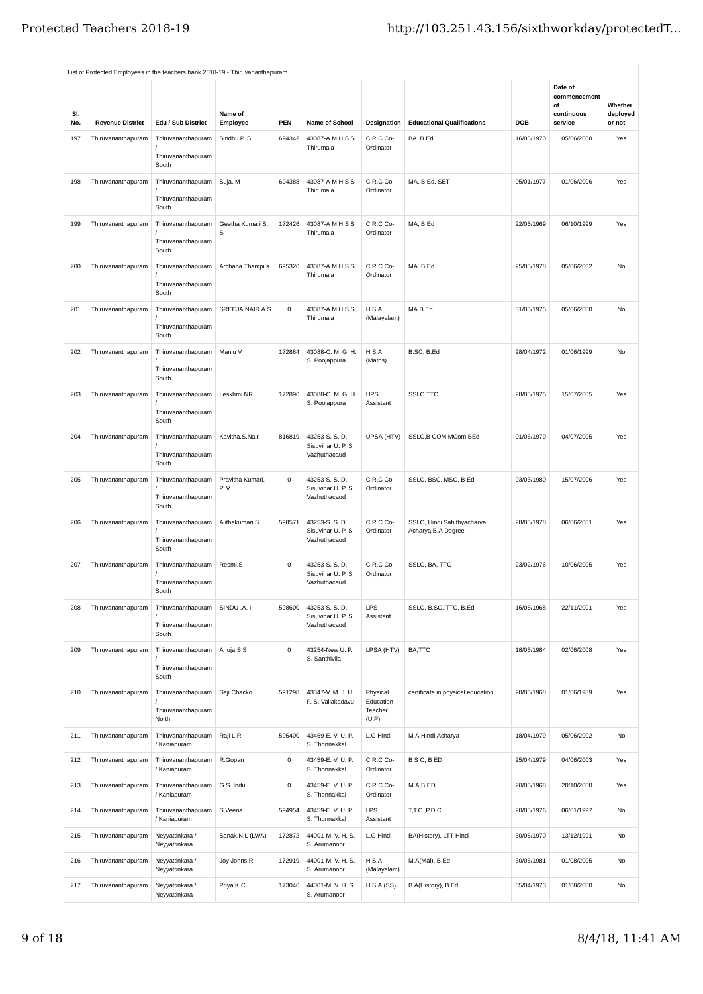| SI.<br>No. | <b>Revenue District</b> | Edu / Sub District                                | Name of<br>Employee     | <b>PEN</b>  | <b>Name of School</b>                                | Designation                               | <b>Educational Qualifications</b>                  | <b>DOB</b> | Date of<br>commencement<br>of<br>continuous<br>service | Whether<br>deployed<br>or not |
|------------|-------------------------|---------------------------------------------------|-------------------------|-------------|------------------------------------------------------|-------------------------------------------|----------------------------------------------------|------------|--------------------------------------------------------|-------------------------------|
| 197        | Thiruvananthapuram      | Thiruvananthapuram<br>Thiruvananthapuram<br>South | Sindhu P. S             | 694342      | 43087-AMHSS<br>Thirumala                             | C.R.C Co-<br>Ordinator                    | BA. B.Ed                                           | 16/05/1970 | 05/06/2000                                             | Yes                           |
| 198        | Thiruvananthapuram      | Thiruvananthapuram<br>Thiruvananthapuram<br>South | Suja. M                 | 694388      | 43087-AMHSS<br>Thirumala                             | C.R.C Co-<br>Ordinator                    | MA, B.Ed, SET                                      | 05/01/1977 | 01/06/2006                                             | Yes                           |
| 199        | Thiruvananthapuram      | Thiruvananthapuram<br>Thiruvananthapuram<br>South | Geetha Kumari S.<br>S   | 172426      | 43087-A M H S S<br>Thirumala                         | C.R.C Co-<br>Ordinator                    | MA, B.Ed                                           | 22/05/1969 | 06/10/1999                                             | Yes                           |
| 200        | Thiruvananthapuram      | Thiruvananthapuram<br>Thiruvananthapuram<br>South | Archana Thampi s        | 695326      | 43087-A M H S S<br>Thirumala                         | C.R.C Co-<br>Ordinator                    | MA. B.Ed                                           | 25/05/1978 | 05/06/2002                                             | No                            |
| 201        | Thiruvananthapuram      | Thiruvananthapuram<br>Thiruvananthapuram<br>South | SREEJA NAIR A.S         | $\mathsf 0$ | 43087-AMHSS<br>Thirumala                             | H.S.A<br>(Malayalam)                      | MA B Ed                                            | 31/05/1975 | 05/06/2000                                             | No                            |
| 202        | Thiruvananthapuram      | Thiruvananthapuram<br>Thiruvananthapuram<br>South | Manju V                 | 172884      | 43088-C. M. G. H.<br>S. Poojappura                   | H.S.A<br>(Maths)                          | B.SC, B.Ed                                         | 28/04/1972 | 01/06/1999                                             | No                            |
| 203        | Thiruvananthapuram      | Thiruvananthapuram<br>Thiruvananthapuram<br>South | Leskhmi NR              | 172896      | 43088-C. M. G. H.<br>S. Poojappura                   | <b>UPS</b><br>Assistant                   | <b>SSLC TTC</b>                                    | 28/05/1975 | 15/07/2005                                             | Yes                           |
| 204        | Thiruvananthapuram      | Thiruvananthapuram<br>Thiruvananthapuram<br>South | Kavitha.S.Nair          | 816819      | 43253-S. S. D.<br>Sisuvihar U. P. S.<br>Vazhuthacaud | UPSA (HTV)                                | SSLC,B COM,MCom,BEd                                | 01/06/1979 | 04/07/2005                                             | Yes                           |
| 205        | Thiruvananthapuram      | Thiruvananthapuram<br>Thiruvananthapuram<br>South | Pravitha Kumari.<br>P.V | 0           | 43253-S. S. D.<br>Sisuvihar U. P. S.<br>Vazhuthacaud | C.R.C Co-<br>Ordinator                    | SSLC, BSC, MSC, B Ed                               | 03/03/1980 | 15/07/2006                                             | Yes                           |
| 206        | Thiruvananthapuram      | Thiruvananthapuram<br>Thiruvananthapuram<br>South | Ajithakumari.S          | 598571      | 43253-S. S. D.<br>Sisuvihar U. P. S.<br>Vazhuthacaud | C.R.C Co-<br>Ordinator                    | SSLC, Hindi Sahithyacharya,<br>Acharya, B.A Degree | 28/05/1978 | 06/06/2001                                             | Yes                           |
| 207        | Thiruvananthapuram      | Thiruvananthapuram<br>Thiruvananthapuram<br>South | Resmi.S                 | 0           | 43253-S. S. D.<br>Sisuvihar U. P. S.<br>Vazhuthacaud | C.R.C Co-<br>Ordinator                    | SSLC, BA, TTC                                      | 23/02/1976 | 10/06/2005                                             | Yes                           |
| 208        | Thiruvananthapuram      | Thiruvananthapuram<br>Thiruvananthapuram<br>South | SINDU .A. I             | 598600      | 43253-S. S. D.<br>Sisuvihar U. P. S.<br>Vazhuthacaud | LPS<br>Assistant                          | SSLC, B.SC, TTC, B.Ed                              | 16/05/1968 | 22/11/2001                                             | Yes                           |
| 209        | Thiruvananthapuram      | Thiruvananthapuram<br>Thiruvananthapuram<br>South | Anuja S S               | 0           | 43254-New U. P.<br>S. Santhivila                     | LPSA (HTV)                                | BA,TTC                                             | 18/05/1984 | 02/06/2008                                             | Yes                           |
| 210        | Thiruvananthapuram      | Thiruvananthapuram<br>Thiruvananthapuram<br>North | Saji Chacko             | 591298      | 43347-V. M. J. U.<br>P. S. Vallakadavu               | Physical<br>Education<br>Teacher<br>(U.P) | certificate in physical education                  | 20/05/1968 | 01/06/1989                                             | Yes                           |
| 211        | Thiruvananthapuram      | Thiruvananthapuram<br>/ Kaniapuram                | Raji L.R                | 595400      | 43459-E.V.U.P.<br>S. Thonnakkal                      | L.G Hindi                                 | M A Hindi Acharya                                  | 18/04/1979 | 05/06/2002                                             | No                            |
| 212        | Thiruvananthapuram      | Thiruvananthapuram<br>/ Kaniapuram                | R.Gopan                 | 0           | 43459-E.V.U.P.<br>S. Thonnakkal                      | C.R.C Co-<br>Ordinator                    | B S C, B ED                                        | 25/04/1979 | 04/06/2003                                             | Yes                           |
| 213        | Thiruvananthapuram      | Thiruvananthapuram<br>/ Kaniapuram                | G.S.Indu                | $\mathsf 0$ | 43459-E.V.U.P.<br>S. Thonnakkal                      | C.R.C Co-<br>Ordinator                    | M.A,B.ED                                           | 20/05/1968 | 20/10/2000                                             | Yes                           |
| 214        | Thiruvananthapuram      | Thiruvananthapuram<br>/ Kaniapuram                | S, Veena.               | 594954      | 43459-E.V.U.P.<br>S. Thonnakkal                      | <b>LPS</b><br>Assistant                   | T,T.C,P.D.C                                        | 20/05/1976 | 06/01/1997                                             | No                            |
| 215        | Thiruvananthapuram      | Neyyattinkara /<br>Neyyattinkara                  | Sanak.N.L (LWA)         | 172872      | 44001-M.V.H.S.<br>S. Arumanoor                       | L.G Hindi                                 | BA(History), LTT Hindi                             | 30/05/1970 | 13/12/1991                                             | No                            |
| 216        | Thiruvananthapuram      | Neyyattinkara /<br>Neyyattinkara                  | Joy Johns.R             | 172919      | 44001-M.V.H.S.<br>S. Arumanoor                       | H.S.A<br>(Malayalam)                      | M.A(Mal), B.Ed                                     | 30/05/1981 | 01/08/2005                                             | No                            |
| 217        | Thiruvananthapuram      | Neyyattinkara /<br>Neyyattinkara                  | Priya.K.C               | 173046      | 44001-M.V.H.S.<br>S. Arumanoor                       | H.S.A(SS)                                 | B.A(History), B.Ed                                 | 05/04/1973 | 01/08/2000                                             | No                            |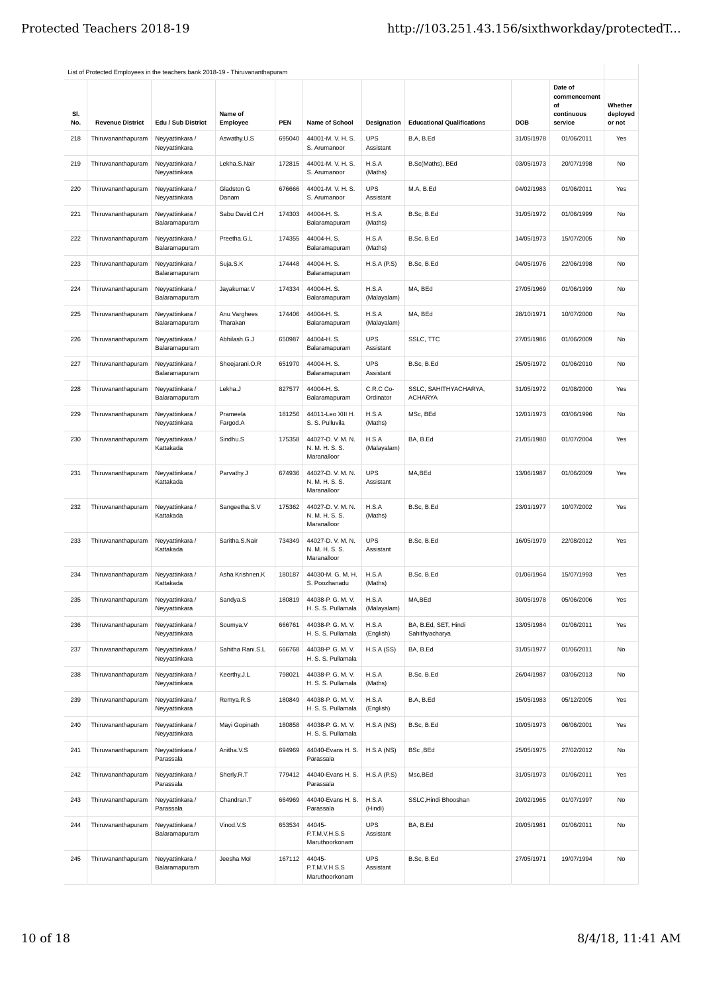| SI.<br>No. | <b>Revenue District</b> | Edu / Sub District               | Name of<br>Employee      | PEN    | Name of School                                  | Designation             | <b>Educational Qualifications</b>       | DOB        | Date of<br>commencement<br>οf<br>continuous<br>service | Whether<br>deployed<br>or not |
|------------|-------------------------|----------------------------------|--------------------------|--------|-------------------------------------------------|-------------------------|-----------------------------------------|------------|--------------------------------------------------------|-------------------------------|
| 218        | Thiruvananthapuram      | Neyyattinkara /<br>Neyyattinkara | Aswathy.U.S              | 695040 | 44001-M.V.H.S.<br>S. Arumanoor                  | <b>UPS</b><br>Assistant | B.A, B.Ed                               | 31/05/1978 | 01/06/2011                                             | Yes                           |
| 219        | Thiruvananthapuram      | Neyyattinkara /<br>Neyyattinkara | Lekha.S.Nair             | 172815 | 44001-M.V.H.S.<br>S. Arumanoor                  | H.S.A<br>(Maths)        | B.Sc(Maths), BEd                        | 03/05/1973 | 20/07/1998                                             | No                            |
| 220        | Thiruvananthapuram      | Neyyattinkara /<br>Neyyattinkara | Gladston G<br>Danam      | 676666 | 44001-M.V.H.S.<br>S. Arumanoor                  | <b>UPS</b><br>Assistant | M.A, B.Ed                               | 04/02/1983 | 01/06/2011                                             | Yes                           |
| 221        | Thiruvananthapuram      | Neyyattinkara /<br>Balaramapuram | Sabu David.C.H           | 174303 | 44004-H.S.<br>Balaramapuram                     | H.S.A<br>(Maths)        | B.Sc, B.Ed                              | 31/05/1972 | 01/06/1999                                             | No                            |
| 222        | Thiruvananthapuram      | Neyyattinkara /<br>Balaramapuram | Preetha.G.L              | 174355 | 44004-H.S.<br>Balaramapuram                     | H.S.A<br>(Maths)        | B.Sc, B.Ed                              | 14/05/1973 | 15/07/2005                                             | No                            |
| 223        | Thiruvananthapuram      | Neyyattinkara /<br>Balaramapuram | Suja.S.K                 | 174448 | 44004-H.S.<br>Balaramapuram                     | H.S.A(P.S)              | B.Sc, B.Ed                              | 04/05/1976 | 22/06/1998                                             | No                            |
| 224        | Thiruvananthapuram      | Neyyattinkara /<br>Balaramapuram | Jayakumar.V              | 174334 | 44004-H.S.<br>Balaramapuram                     | H.S.A<br>(Malayalam)    | MA, BEd                                 | 27/05/1969 | 01/06/1999                                             | No                            |
| 225        | Thiruvananthapuram      | Neyyattinkara /<br>Balaramapuram | Anu Varghees<br>Tharakan | 174406 | 44004-H.S.<br>Balaramapuram                     | H.S.A<br>(Malayalam)    | MA, BEd                                 | 28/10/1971 | 10/07/2000                                             | No                            |
| 226        | Thiruvananthapuram      | Neyyattinkara /<br>Balaramapuram | Abhilash.G.J             | 650987 | 44004-H.S.<br>Balaramapuram                     | <b>UPS</b><br>Assistant | SSLC, TTC                               | 27/05/1986 | 01/06/2009                                             | No                            |
| 227        | Thiruvananthapuram      | Neyyattinkara /<br>Balaramapuram | Sheejarani.O.R           | 651970 | 44004-H.S.<br>Balaramapuram                     | <b>UPS</b><br>Assistant | B.Sc, B.Ed                              | 25/05/1972 | 01/06/2010                                             | No                            |
| 228        | Thiruvananthapuram      | Neyyattinkara /<br>Balaramapuram | Lekha.J                  | 827577 | 44004-H.S.<br>Balaramapuram                     | C.R.C Co-<br>Ordinator  | SSLC, SAHITHYACHARYA,<br><b>ACHARYA</b> | 31/05/1972 | 01/08/2000                                             | Yes                           |
| 229        | Thiruvananthapuram      | Neyyattinkara /<br>Neyyattinkara | Prameela<br>Fargod.A     | 181256 | 44011-Leo XIII H.<br>S. S. Pulluvila            | H.S.A<br>(Maths)        | MSc, BEd                                | 12/01/1973 | 03/06/1996                                             | <b>No</b>                     |
| 230        | Thiruvananthapuram      | Neyyattinkara /<br>Kattakada     | Sindhu.S                 | 175358 | 44027-D.V.M.N.<br>N. M. H. S. S.<br>Maranalloor | H.S.A<br>(Malayalam)    | BA, B.Ed                                | 21/05/1980 | 01/07/2004                                             | Yes                           |
| 231        | Thiruvananthapuram      | Neyyattinkara /<br>Kattakada     | Parvathy.J               | 674936 | 44027-D.V.M.N.<br>N. M. H. S. S.<br>Maranalloor | <b>UPS</b><br>Assistant | MA,BEd                                  | 13/06/1987 | 01/06/2009                                             | Yes                           |
| 232        | Thiruvananthapuram      | Neyyattinkara /<br>Kattakada     | Sangeetha.S.V            | 175362 | 44027-D.V.M.N.<br>N. M. H. S. S.<br>Maranalloor | H.S.A<br>(Maths)        | B.Sc, B.Ed                              | 23/01/1977 | 10/07/2002                                             | Yes                           |
| 233        | Thiruvananthapuram      | Neyyattinkara /<br>Kattakada     | Saritha.S.Nair           | 734349 | 44027-D.V.M.N.<br>N. M. H. S. S.<br>Maranalloor | <b>UPS</b><br>Assistant | B.Sc, B.Ed                              | 16/05/1979 | 22/08/2012                                             | Yes                           |
| 234        | Thiruvananthapuram      | Neyyattinkara /<br>Kattakada     | Asha Krishnen.K          | 180187 | 44030-M. G. M. H.<br>S. Poozhanadu              | H.S.A<br>(Maths)        | B.Sc, B.Ed                              | 01/06/1964 | 15/07/1993                                             | Yes                           |
| 235        | Thiruvananthapuram      | Neyyattinkara /<br>Neyyattinkara | Sandya.S                 | 180819 | 44038-P. G. M. V.<br>H. S. S. Pullamala         | H.S.A<br>(Malayalam)    | MA,BEd                                  | 30/05/1978 | 05/06/2006                                             | Yes                           |
| 236        | Thiruvananthapuram      | Neyyattinkara /<br>Neyyattinkara | Soumya.V                 | 666761 | 44038-P. G. M. V.<br>H. S. S. Pullamala         | H.S.A<br>(English)      | BA, B.Ed, SET, Hindi<br>Sahithyacharya  | 13/05/1984 | 01/06/2011                                             | Yes                           |
| 237        | Thiruvananthapuram      | Neyyattinkara /<br>Neyyattinkara | Sahitha Rani.S.L         | 666768 | 44038-P. G. M. V.<br>H. S. S. Pullamala         | H.S.A(SS)               | BA, B.Ed                                | 31/05/1977 | 01/06/2011                                             | No                            |
| 238        | Thiruvananthapuram      | Neyyattinkara /<br>Neyyattinkara | Keerthy.J.L              | 798021 | 44038-P. G. M. V.<br>H. S. S. Pullamala         | H.S.A<br>(Maths)        | B.Sc, B.Ed                              | 26/04/1987 | 03/06/2013                                             | No                            |
| 239        | Thiruvananthapuram      | Neyyattinkara /<br>Neyyattinkara | Remya.R.S                | 180849 | 44038-P. G. M. V.<br>H. S. S. Pullamala         | H.S.A<br>(English)      | B.A, B.Ed                               | 15/05/1983 | 05/12/2005                                             | Yes                           |
| 240        | Thiruvananthapuram      | Neyyattinkara /<br>Neyyattinkara | Mayi Gopinath            | 180858 | 44038-P. G. M. V.<br>H. S. S. Pullamala         | H.S.A(NS)               | B.Sc, B.Ed                              | 10/05/1973 | 06/06/2001                                             | Yes                           |
| 241        | Thiruvananthapuram      | Neyyattinkara /<br>Parassala     | Anitha.V.S               | 694969 | 44040-Evans H. S.<br>Parassala                  | H.S.A(NS)               | BSc, BEd                                | 25/05/1975 | 27/02/2012                                             | No                            |
| 242        | Thiruvananthapuram      | Neyyattinkara /<br>Parassala     | Sherly.R.T               | 779412 | 44040-Evans H. S.<br>Parassala                  | H.S.A(P.S)              | Msc,BEd                                 | 31/05/1973 | 01/06/2011                                             | Yes                           |
| 243        | Thiruvananthapuram      | Neyyattinkara /<br>Parassala     | Chandran.T               | 664969 | 44040-Evans H. S.<br>Parassala                  | H.S.A<br>(Hindi)        | SSLC, Hindi Bhooshan                    | 20/02/1965 | 01/07/1997                                             | No                            |
| 244        | Thiruvananthapuram      | Neyyattinkara /<br>Balaramapuram | Vinod.V.S                | 653534 | 44045-<br>P.T.M.V.H.S.S<br>Maruthoorkonam       | <b>UPS</b><br>Assistant | BA, B.Ed                                | 20/05/1981 | 01/06/2011                                             | No                            |
| 245        | Thiruvananthapuram      | Neyyattinkara /<br>Balaramapuram | Jeesha Mol               | 167112 | 44045-<br>P.T.M.V.H.S.S<br>Maruthoorkonam       | <b>UPS</b><br>Assistant | B.Sc, B.Ed                              | 27/05/1971 | 19/07/1994                                             | No                            |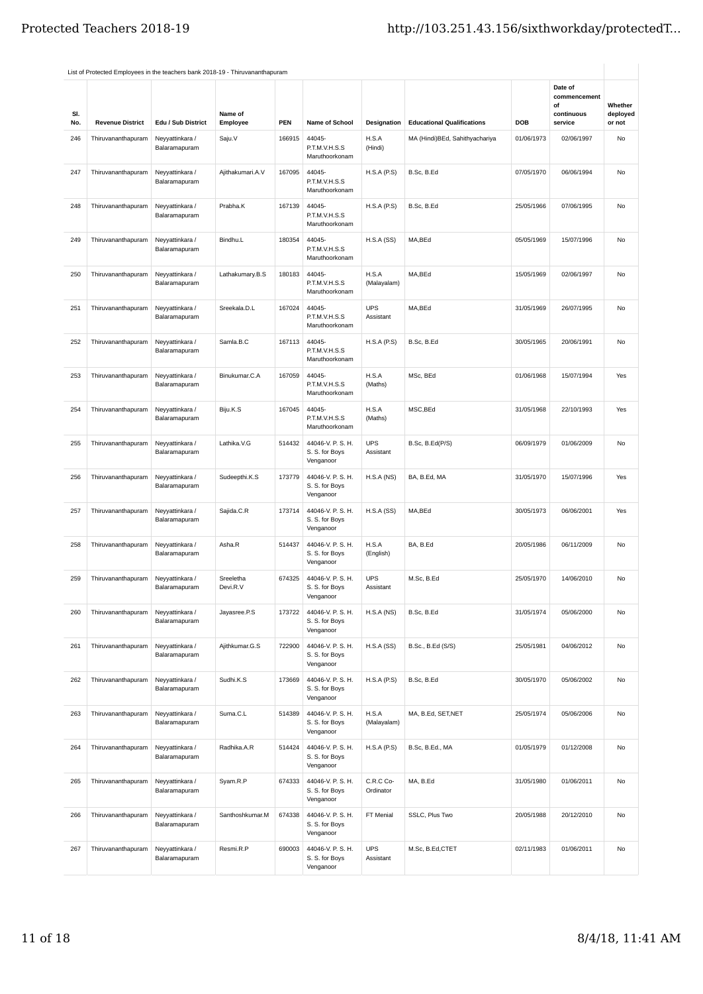|     | List of Protected Employees in the teachers bank 2018-19 - Thiruvananthapuram |                                  |                       |            |                                                  |                         |                                   |            |                                             |                     |
|-----|-------------------------------------------------------------------------------|----------------------------------|-----------------------|------------|--------------------------------------------------|-------------------------|-----------------------------------|------------|---------------------------------------------|---------------------|
| SI. |                                                                               |                                  | Name of               |            |                                                  |                         |                                   |            | Date of<br>commencement<br>οf<br>continuous | Whether<br>deployed |
| No. | <b>Revenue District</b>                                                       | Edu / Sub District               | Employee              | <b>PEN</b> | Name of School                                   | Designation             | <b>Educational Qualifications</b> | DOB        | service                                     | or not              |
| 246 | Thiruvananthapuram                                                            | Neyyattinkara /<br>Balaramapuram | Saju.V                | 166915     | 44045-<br>P.T.M.V.H.S.S<br>Maruthoorkonam        | H.S.A<br>(Hindi)        | MA (Hindi)BEd, Sahithyachariya    | 01/06/1973 | 02/06/1997                                  | No                  |
| 247 | Thiruvananthapuram                                                            | Neyyattinkara /<br>Balaramapuram | Ajithakumari.A.V      | 167095     | 44045-<br>P.T.M.V.H.S.S<br>Maruthoorkonam        | H.S.A(P.S)              | B.Sc, B.Ed                        | 07/05/1970 | 06/06/1994                                  | No                  |
| 248 | Thiruvananthapuram                                                            | Neyyattinkara /<br>Balaramapuram | Prabha.K              | 167139     | 44045-<br>P.T.M.V.H.S.S<br>Maruthoorkonam        | H.S.A(P.S)              | B.Sc, B.Ed                        | 25/05/1966 | 07/06/1995                                  | No                  |
| 249 | Thiruvananthapuram                                                            | Neyyattinkara /<br>Balaramapuram | Bindhu.L              | 180354     | 44045-<br>P.T.M.V.H.S.S<br>Maruthoorkonam        | H.S.A(SS)               | MA,BEd                            | 05/05/1969 | 15/07/1996                                  | No                  |
| 250 | Thiruvananthapuram                                                            | Neyyattinkara /<br>Balaramapuram | Lathakumary.B.S       | 180183     | 44045-<br>P.T.M.V.H.S.S<br>Maruthoorkonam        | H.S.A<br>(Malayalam)    | MA,BEd                            | 15/05/1969 | 02/06/1997                                  | No                  |
| 251 | Thiruvananthapuram                                                            | Neyyattinkara /<br>Balaramapuram | Sreekala.D.L          | 167024     | 44045-<br>P.T.M.V.H.S.S<br>Maruthoorkonam        | <b>UPS</b><br>Assistant | MA,BEd                            | 31/05/1969 | 26/07/1995                                  | No                  |
| 252 | Thiruvananthapuram                                                            | Neyyattinkara /<br>Balaramapuram | Samla.B.C             | 167113     | 44045-<br>P.T.M.V.H.S.S<br>Maruthoorkonam        | H.S.A(P.S)              | B.Sc, B.Ed                        | 30/05/1965 | 20/06/1991                                  | No                  |
| 253 | Thiruvananthapuram                                                            | Neyyattinkara /<br>Balaramapuram | Binukumar.C.A         | 167059     | 44045-<br>P.T.M.V.H.S.S<br>Maruthoorkonam        | H.S.A<br>(Maths)        | MSc, BEd                          | 01/06/1968 | 15/07/1994                                  | Yes                 |
| 254 | Thiruvananthapuram                                                            | Neyyattinkara /<br>Balaramapuram | Biju.K.S              | 167045     | 44045-<br>P.T.M.V.H.S.S<br>Maruthoorkonam        | H.S.A<br>(Maths)        | MSC, BEd                          | 31/05/1968 | 22/10/1993                                  | Yes                 |
| 255 | Thiruvananthapuram                                                            | Neyyattinkara /<br>Balaramapuram | Lathika.V.G           | 514432     | 44046-V. P. S. H.<br>S. S. for Boys<br>Venganoor | <b>UPS</b><br>Assistant | B.Sc, B.Ed(P/S)                   | 06/09/1979 | 01/06/2009                                  | No                  |
| 256 | Thiruvananthapuram                                                            | Neyyattinkara /<br>Balaramapuram | Sudeepthi.K.S         | 173779     | 44046-V. P. S. H.<br>S. S. for Boys<br>Venganoor | H.S.A(NS)               | BA, B.Ed, MA                      | 31/05/1970 | 15/07/1996                                  | Yes                 |
| 257 | Thiruvananthapuram                                                            | Neyyattinkara /<br>Balaramapuram | Sajida.C.R            | 173714     | 44046-V. P. S. H.<br>S. S. for Boys<br>Venganoor | H.S.A(SS)               | MA,BEd                            | 30/05/1973 | 06/06/2001                                  | Yes                 |
| 258 | Thiruvananthapuram                                                            | Neyyattinkara /<br>Balaramapuram | Asha.R                | 514437     | 44046-V. P. S. H.<br>S. S. for Boys<br>Venganoor | H.S.A<br>(English)      | BA, B.Ed                          | 20/05/1986 | 06/11/2009                                  | No                  |
| 259 | Thiruvananthapuram                                                            | Neyyattinkara /<br>Balaramapuram | Sreeletha<br>Devi.R.V | 674325     | 44046-V. P. S. H.<br>S. S. for Boys<br>Venganoor | <b>UPS</b><br>Assistant | M.Sc, B.Ed                        | 25/05/1970 | 14/06/2010                                  | No                  |
| 260 | Thiruvananthapuram                                                            | Neyyattinkara /<br>Balaramapuram | Jayasree.P.S          | 173722     | 44046-V. P. S. H.<br>S. S. for Boys<br>Venganoor | H.S.A(NS)               | B.Sc, B.Ed                        | 31/05/1974 | 05/06/2000                                  | No                  |
| 261 | Thiruvananthapuram                                                            | Neyyattinkara /<br>Balaramapuram | Ajithkumar.G.S        | 722900     | 44046-V. P. S. H.<br>S. S. for Boys<br>Venganoor | H.S.A(SS)               | B.Sc., B.Ed (S/S)                 | 25/05/1981 | 04/06/2012                                  | No                  |
| 262 | Thiruvananthapuram                                                            | Neyyattinkara /<br>Balaramapuram | Sudhi.K.S             | 173669     | 44046-V. P. S. H.<br>S. S. for Boys<br>Venganoor | H.S.A(P.S)              | B.Sc. B.Ed                        | 30/05/1970 | 05/06/2002                                  | <b>No</b>           |
| 263 | Thiruvananthapuram                                                            | Neyyattinkara /<br>Balaramapuram | Suma.C.L              | 514389     | 44046-V. P. S. H.<br>S. S. for Boys<br>Venganoor | H.S.A<br>(Malayalam)    | MA, B.Ed, SET, NET                | 25/05/1974 | 05/06/2006                                  | No                  |
| 264 | Thiruvananthapuram                                                            | Neyyattinkara /<br>Balaramapuram | Radhika.A.R           | 514424     | 44046-V. P. S. H.<br>S. S. for Boys<br>Venganoor | H.S.A(P.S)              | B.Sc, B.Ed., MA                   | 01/05/1979 | 01/12/2008                                  | No                  |
| 265 | Thiruvananthapuram                                                            | Neyyattinkara /<br>Balaramapuram | Syam.R.P              | 674333     | 44046-V. P. S. H.<br>S. S. for Boys<br>Venganoor | C.R.C Co-<br>Ordinator  | MA, B.Ed                          | 31/05/1980 | 01/06/2011                                  | No                  |
| 266 | Thiruvananthapuram                                                            | Neyyattinkara /<br>Balaramapuram | Santhoshkumar.M       | 674338     | 44046-V. P. S. H.<br>S. S. for Boys<br>Venganoor | FT Menial               | SSLC, Plus Two                    | 20/05/1988 | 20/12/2010                                  | No                  |
| 267 | Thiruvananthapuram                                                            | Neyyattinkara /<br>Balaramapuram | Resmi.R.P             | 690003     | 44046-V. P. S. H.<br>S. S. for Boys<br>Venganoor | <b>UPS</b><br>Assistant | M.Sc, B.Ed,CTET                   | 02/11/1983 | 01/06/2011                                  | No                  |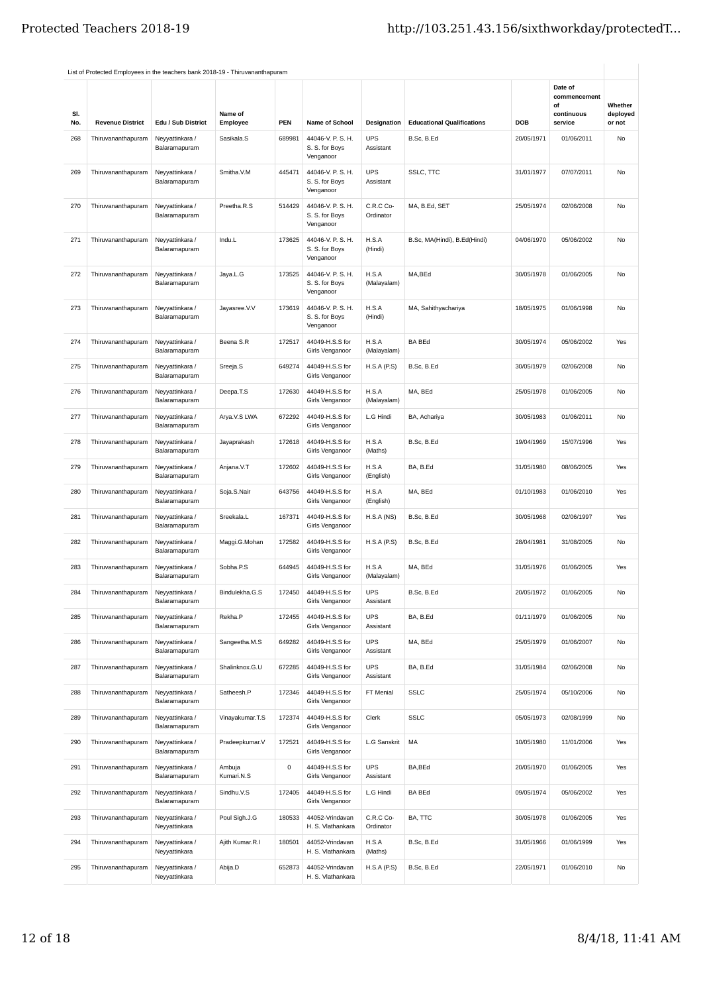|            | List of Protected Employees in the teachers bank 2018-19 - Thiruvananthapuram |                                  |                      |        |                                                  |                         |                                   |            |                                                        |                               |
|------------|-------------------------------------------------------------------------------|----------------------------------|----------------------|--------|--------------------------------------------------|-------------------------|-----------------------------------|------------|--------------------------------------------------------|-------------------------------|
| SI.<br>No. | <b>Revenue District</b>                                                       | Edu / Sub District               | Name of<br>Employee  | PEN    | <b>Name of School</b>                            | Designation             | <b>Educational Qualifications</b> | DOB        | Date of<br>commencement<br>οf<br>continuous<br>service | Whether<br>deployed<br>or not |
| 268        | Thiruvananthapuram                                                            | Neyyattinkara /<br>Balaramapuram | Sasikala.S           | 689981 | 44046-V. P. S. H.<br>S. S. for Boys<br>Venganoor | <b>UPS</b><br>Assistant | B.Sc, B.Ed                        | 20/05/1971 | 01/06/2011                                             | No                            |
| 269        | Thiruvananthapuram                                                            | Neyyattinkara /<br>Balaramapuram | Smitha.V.M           | 445471 | 44046-V. P. S. H.<br>S. S. for Boys<br>Venganoor | <b>UPS</b><br>Assistant | SSLC, TTC                         | 31/01/1977 | 07/07/2011                                             | No                            |
| 270        | Thiruvananthapuram                                                            | Neyyattinkara /<br>Balaramapuram | Preetha.R.S          | 514429 | 44046-V. P. S. H.<br>S. S. for Boys<br>Venganoor | C.R.C Co-<br>Ordinator  | MA, B.Ed, SET                     | 25/05/1974 | 02/06/2008                                             | No                            |
| 271        | Thiruvananthapuram                                                            | Neyyattinkara /<br>Balaramapuram | Indu.L               | 173625 | 44046-V. P. S. H.<br>S. S. for Boys<br>Venganoor | H.S.A<br>(Hindi)        | B.Sc, MA(Hindi), B.Ed(Hindi)      | 04/06/1970 | 05/06/2002                                             | No                            |
| 272        | Thiruvananthapuram                                                            | Neyyattinkara /<br>Balaramapuram | Jaya.L.G             | 173525 | 44046-V. P. S. H.<br>S. S. for Boys<br>Venganoor | H.S.A<br>(Malayalam)    | MA,BEd                            | 30/05/1978 | 01/06/2005                                             | No                            |
| 273        | Thiruvananthapuram                                                            | Neyyattinkara /<br>Balaramapuram | Jayasree.V.V         | 173619 | 44046-V. P. S. H.<br>S. S. for Boys<br>Venganoor | H.S.A<br>(Hindi)        | MA, Sahithyachariya               | 18/05/1975 | 01/06/1998                                             | No                            |
| 274        | Thiruvananthapuram                                                            | Neyyattinkara /<br>Balaramapuram | Beena S.R            | 172517 | 44049-H.S.S for<br>Girls Venganoor               | H.S.A<br>(Malayalam)    | <b>BA BEd</b>                     | 30/05/1974 | 05/06/2002                                             | Yes                           |
| 275        | Thiruvananthapuram                                                            | Neyyattinkara /<br>Balaramapuram | Sreeja.S             | 649274 | 44049-H.S.S for<br>Girls Venganoor               | <b>H.S.A (P.S)</b>      | B.Sc, B.Ed                        | 30/05/1979 | 02/06/2008                                             | No                            |
| 276        | Thiruvananthapuram                                                            | Neyyattinkara /<br>Balaramapuram | Deepa.T.S            | 172630 | 44049-H.S.S for<br>Girls Venganoor               | H.S.A<br>(Malayalam)    | MA, BEd                           | 25/05/1978 | 01/06/2005                                             | No                            |
| 277        | Thiruvananthapuram                                                            | Neyyattinkara /<br>Balaramapuram | Arya.V.S LWA         | 672292 | 44049-H.S.S for<br>Girls Venganoor               | L.G Hindi               | BA, Achariya                      | 30/05/1983 | 01/06/2011                                             | No                            |
| 278        | Thiruvananthapuram                                                            | Neyyattinkara /<br>Balaramapuram | Jayaprakash          | 172618 | 44049-H.S.S for<br>Girls Venganoor               | H.S.A<br>(Maths)        | B.Sc, B.Ed                        | 19/04/1969 | 15/07/1996                                             | Yes                           |
| 279        | Thiruvananthapuram                                                            | Neyyattinkara /<br>Balaramapuram | Anjana.V.T           | 172602 | 44049-H.S.S for<br>Girls Venganoor               | H.S.A<br>(English)      | BA, B.Ed                          | 31/05/1980 | 08/06/2005                                             | Yes                           |
| 280        | Thiruvananthapuram                                                            | Neyyattinkara /<br>Balaramapuram | Soja.S.Nair          | 643756 | 44049-H.S.S for<br>Girls Venganoor               | H.S.A<br>(English)      | MA, BEd                           | 01/10/1983 | 01/06/2010                                             | Yes                           |
| 281        | Thiruvananthapuram                                                            | Neyyattinkara /<br>Balaramapuram | Sreekala.L           | 167371 | 44049-H.S.S for<br>Girls Venganoor               | H.S.A (NS)              | B.Sc, B.Ed                        | 30/05/1968 | 02/06/1997                                             | Yes                           |
| 282        | Thiruvananthapuram                                                            | Neyyattinkara /<br>Balaramapuram | Maggi.G.Mohan        | 172582 | 44049-H.S.S for<br>Girls Venganoor               | H.S.A(P.S)              | B.Sc, B.Ed                        | 28/04/1981 | 31/08/2005                                             | No                            |
| 283        | Thiruvananthapuram                                                            | Neyyattinkara /<br>Balaramapuram | Sobha.P.S            | 644945 | 44049-H.S.S for<br>Girls Venganoor               | H.S.A<br>(Malayalam)    | MA, BEd                           | 31/05/1976 | 01/06/2005                                             | Yes                           |
|            | Thiruvananthapuram                                                            | Neyyattınkara /<br>Balaramapuram | Bindulekha.G.S       | 172450 | 44049-H.S.S for<br>Girls Venganoor               | UPS<br>Assistant        | B.Sc, B.Ed                        | 20/05/1972 | 01/06/2005                                             | N0                            |
| 285        | Thiruvananthapuram                                                            | Neyyattinkara /<br>Balaramapuram | Rekha.P              | 172455 | 44049-H.S.S for<br>Girls Venganoor               | <b>UPS</b><br>Assistant | BA, B.Ed                          | 01/11/1979 | 01/06/2005                                             | No                            |
| 286        | Thiruvananthapuram                                                            | Neyyattinkara /<br>Balaramapuram | Sangeetha.M.S        | 649282 | 44049-H.S.S for<br>Girls Venganoor               | <b>UPS</b><br>Assistant | MA, BEd                           | 25/05/1979 | 01/06/2007                                             | No                            |
| 287        | Thiruvananthapuram                                                            | Neyyattinkara /<br>Balaramapuram | Shalinknox.G.U       | 672285 | 44049-H.S.S for<br>Girls Venganoor               | <b>UPS</b><br>Assistant | BA, B.Ed                          | 31/05/1984 | 02/06/2008                                             | No                            |
| 288        | Thiruvananthapuram                                                            | Neyyattinkara /<br>Balaramapuram | Satheesh.P           | 172346 | 44049-H.S.S for<br>Girls Venganoor               | FT Menial               | <b>SSLC</b>                       | 25/05/1974 | 05/10/2006                                             | No                            |
| 289        | Thiruvananthapuram                                                            | Neyyattinkara /<br>Balaramapuram | Vinayakumar.T.S      | 172374 | 44049-H.S.S for<br>Girls Venganoor               | Clerk                   | <b>SSLC</b>                       | 05/05/1973 | 02/08/1999                                             | No                            |
| 290        | Thiruvananthapuram                                                            | Neyyattinkara /<br>Balaramapuram | Pradeepkumar.V       | 172521 | 44049-H.S.S for<br>Girls Venganoor               | L.G Sanskrit            | MA                                | 10/05/1980 | 11/01/2006                                             | Yes                           |
| 291        | Thiruvananthapuram                                                            | Neyyattinkara /<br>Balaramapuram | Ambuja<br>Kumari.N.S | 0      | 44049-H.S.S for<br>Girls Venganoor               | <b>UPS</b><br>Assistant | BA,BEd                            | 20/05/1970 | 01/06/2005                                             | Yes                           |
| 292        | Thiruvananthapuram                                                            | Neyyattinkara /<br>Balaramapuram | Sindhu.V.S           | 172405 | 44049-H.S.S for<br>Girls Venganoor               | L.G Hindi               | <b>BA BEd</b>                     | 09/05/1974 | 05/06/2002                                             | Yes                           |
| 293        | Thiruvananthapuram                                                            | Neyyattinkara /<br>Neyyattinkara | Poul Sigh.J.G        | 180533 | 44052-Vrindavan<br>H. S. Vlathankara             | C.R.C Co-<br>Ordinator  | BA, TTC                           | 30/05/1978 | 01/06/2005                                             | Yes                           |
| 294        | Thiruvananthapuram                                                            | Neyyattinkara /<br>Neyyattinkara | Ajith Kumar.R.I      | 180501 | 44052-Vrindavan<br>H. S. Vlathankara             | H.S.A<br>(Maths)        | B.Sc, B.Ed                        | 31/05/1966 | 01/06/1999                                             | Yes                           |
| 295        | Thiruvananthapuram                                                            | Neyyattinkara /<br>Neyyattinkara | Abija.D              | 652873 | 44052-Vrindavan<br>H. S. Vlathankara             | <b>H.S.A (P.S)</b>      | B.Sc, B.Ed                        | 22/05/1971 | 01/06/2010                                             | No                            |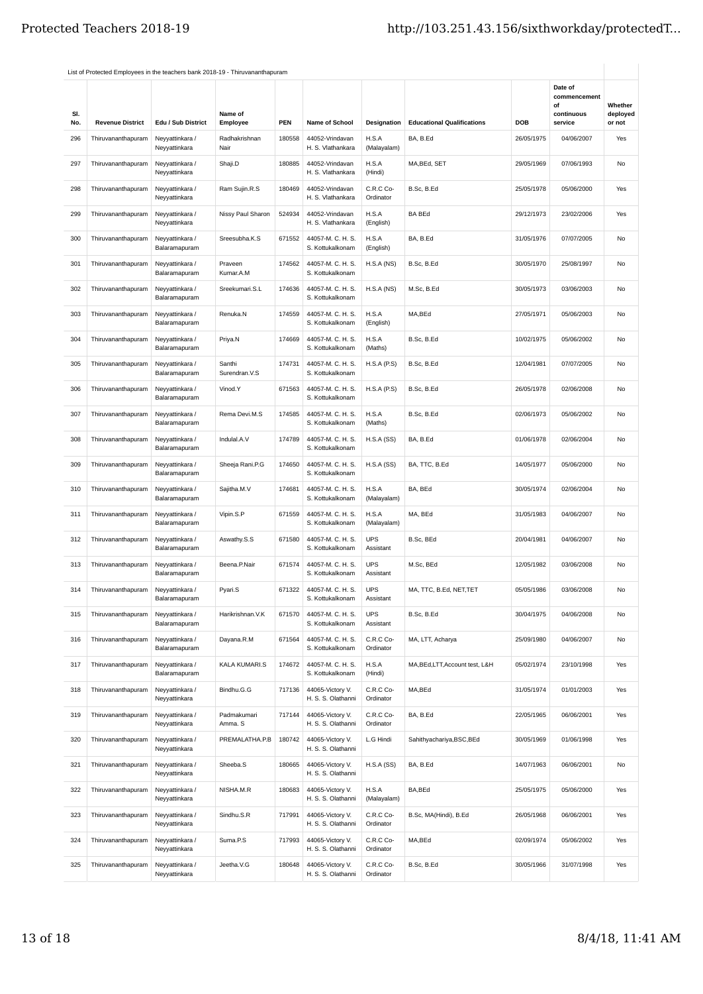| SI.<br>No. | <b>Revenue District</b>            | Edu / Sub District               | Name of<br>Employee     | <b>PEN</b> | Name of School                         | Designation             | <b>Educational Qualifications</b> | DOB        | Date of<br>commencement<br>of<br>continuous<br>service | Whether<br>deployed<br>or not |
|------------|------------------------------------|----------------------------------|-------------------------|------------|----------------------------------------|-------------------------|-----------------------------------|------------|--------------------------------------------------------|-------------------------------|
| 296        | Thiruvananthapuram                 | Neyyattinkara /<br>Neyyattinkara | Radhakrishnan<br>Nair   | 180558     | 44052-Vrindavan<br>H. S. Vlathankara   | H.S.A<br>(Malayalam)    | BA, B.Ed                          | 26/05/1975 | 04/06/2007                                             | Yes                           |
| 297        | Thiruvananthapuram                 | Neyyattinkara /<br>Neyyattinkara | Shaji.D                 | 180885     | 44052-Vrindavan<br>H. S. Vlathankara   | H.S.A<br>(Hindi)        | MA, BEd, SET                      | 29/05/1969 | 07/06/1993                                             | No                            |
| 298        | Thiruvananthapuram                 | Neyyattinkara /<br>Neyyattinkara | Ram Sujin.R.S           | 180469     | 44052-Vrindavan<br>H. S. Vlathankara   | C.R.C Co-<br>Ordinator  | B.Sc, B.Ed                        | 25/05/1978 | 05/06/2000                                             | Yes                           |
| 299        | Thiruvananthapuram                 | Neyyattinkara /<br>Neyyattinkara | Nissy Paul Sharon       | 524934     | 44052-Vrindavan<br>H. S. Vlathankara   | H.S.A<br>(English)      | <b>BA BEd</b>                     | 29/12/1973 | 23/02/2006                                             | Yes                           |
| 300        | Thiruvananthapuram                 | Neyyattinkara /<br>Balaramapuram | Sreesubha.K.S           | 671552     | 44057-M. C. H. S.<br>S. Kottukalkonam  | H.S.A<br>(English)      | BA, B.Ed                          | 31/05/1976 | 07/07/2005                                             | No                            |
| 301        | Thiruvananthapuram                 | Neyyattinkara /<br>Balaramapuram | Praveen<br>Kumar.A.M    | 174562     | 44057-M. C. H. S.<br>S. Kottukalkonam  | H.S.A(NS)               | B.Sc, B.Ed                        | 30/05/1970 | 25/08/1997                                             | No                            |
| 302        | Thiruvananthapuram                 | Neyyattinkara /<br>Balaramapuram | Sreekumari.S.L          | 174636     | 44057-M. C. H. S.<br>S. Kottukalkonam  | H.S.A (NS)              | M.Sc, B.Ed                        | 30/05/1973 | 03/06/2003                                             | No                            |
| 303        | Thiruvananthapuram                 | Neyyattinkara /<br>Balaramapuram | Renuka.N                | 174559     | 44057-M. C. H. S.<br>S. Kottukalkonam  | H.S.A<br>(English)      | MA,BEd                            | 27/05/1971 | 05/06/2003                                             | No                            |
| 304        | Thiruvananthapuram                 | Neyyattinkara /<br>Balaramapuram | Priya.N                 | 174669     | 44057-M. C. H. S.<br>S. Kottukalkonam  | H.S.A<br>(Maths)        | B.Sc, B.Ed                        | 10/02/1975 | 05/06/2002                                             | No                            |
| 305        | Thiruvananthapuram                 | Neyyattinkara /<br>Balaramapuram | Santhi<br>Surendran.V.S | 174731     | 44057-M. C. H. S.<br>S. Kottukalkonam  | H.S.A(P.S)              | B.Sc, B.Ed                        | 12/04/1981 | 07/07/2005                                             | No                            |
| 306        | Thiruvananthapuram                 | Neyyattinkara /<br>Balaramapuram | Vinod.Y                 | 671563     | 44057-M. C. H. S.<br>S. Kottukalkonam  | H.S.A(P.S)              | B.Sc, B.Ed                        | 26/05/1978 | 02/06/2008                                             | No                            |
| 307        | Thiruvananthapuram                 | Neyyattinkara /<br>Balaramapuram | Rema Devi.M.S           | 174585     | 44057-M. C. H. S.<br>S. Kottukalkonam  | H.S.A<br>(Maths)        | B.Sc, B.Ed                        | 02/06/1973 | 05/06/2002                                             | No                            |
| 308        | Thiruvananthapuram                 | Neyyattinkara /<br>Balaramapuram | Indulal.A.V             | 174789     | 44057-M. C. H. S.<br>S. Kottukalkonam  | H.S.A(SS)               | BA, B.Ed                          | 01/06/1978 | 02/06/2004                                             | No                            |
| 309        | Thiruvananthapuram                 | Neyyattinkara /<br>Balaramapuram | Sheeja Rani.P.G         | 174650     | 44057-M. C. H. S.<br>S. Kottukalkonam  | H.S.A(SS)               | BA, TTC, B.Ed                     | 14/05/1977 | 05/06/2000                                             | No                            |
| 310        | Thiruvananthapuram                 | Neyyattinkara /<br>Balaramapuram | Sajitha.M.V             | 174681     | 44057-M. C. H. S.<br>S. Kottukalkonam  | H.S.A<br>(Malayalam)    | BA, BEd                           | 30/05/1974 | 02/06/2004                                             | No                            |
| 311        | Thiruvananthapuram                 | Neyyattinkara /<br>Balaramapuram | Vipin.S.P               | 671559     | 44057-M. C. H. S.<br>S. Kottukalkonam  | H.S.A<br>(Malayalam)    | MA, BEd                           | 31/05/1983 | 04/06/2007                                             | No                            |
| 312        | Thiruvananthapuram                 | Neyyattinkara /<br>Balaramapuram | Aswathy.S.S             | 671580     | 44057-M. C. H. S.<br>S. Kottukalkonam  | <b>UPS</b><br>Assistant | B.Sc, BEd                         | 20/04/1981 | 04/06/2007                                             | No                            |
| 313        | Thiruvananthapuram                 | Neyyattinkara /<br>Balaramapuram | Beena.P.Nair            | 671574     | 44057-M.C.H.S.<br>S. Kottukalkonam     | <b>UPS</b><br>Assistant | M.Sc, BEd                         | 12/05/1982 | 03/06/2008                                             | No                            |
| 314        | Thiruvananthapuram Neyyattinkara / | Balaramapuram                    | Pyari.S                 | 671322     | 44057-M.C.H.S.<br>S. Kottukalkonam     | <b>UPS</b><br>Assistant | MA, TTC, B.Ed, NET, TET           | 05/05/1986 | 03/06/2008                                             | <b>No</b>                     |
| 315        | Thiruvananthapuram                 | Neyyattinkara /<br>Balaramapuram | Harikrishnan.V.K        | 671570     | 44057-M. C. H. S.<br>S. Kottukalkonam  | <b>UPS</b><br>Assistant | B.Sc, B.Ed                        | 30/04/1975 | 04/06/2008                                             | No                            |
| 316        | Thiruvananthapuram                 | Neyyattinkara /<br>Balaramapuram | Dayana.R.M              | 671564     | 44057-M. C. H. S.<br>S. Kottukalkonam  | C.R.C Co-<br>Ordinator  | MA, LTT, Acharya                  | 25/09/1980 | 04/06/2007                                             | No                            |
| 317        | Thiruvananthapuram                 | Neyyattinkara /<br>Balaramapuram | KALA KUMARI.S           | 174672     | 44057-M. C. H. S.<br>S. Kottukalkonam  | H.S.A<br>(Hindi)        | MA, BEd, LTT, Account test, L&H   | 05/02/1974 | 23/10/1998                                             | Yes                           |
| 318        | Thiruvananthapuram                 | Neyyattinkara /<br>Neyyattinkara | Bindhu.G.G              | 717136     | 44065-Victory V.<br>H. S. S. Olathanni | C.R.C Co-<br>Ordinator  | MA,BEd                            | 31/05/1974 | 01/01/2003                                             | Yes                           |
| 319        | Thiruvananthapuram                 | Neyyattinkara /<br>Neyyattinkara | Padmakumari<br>Amma. S  | 717144     | 44065-Victory V.<br>H. S. S. Olathanni | C.R.C Co-<br>Ordinator  | BA, B.Ed                          | 22/05/1965 | 06/06/2001                                             | Yes                           |
| 320        | Thiruvananthapuram                 | Neyyattinkara /<br>Neyyattinkara | PREMALATHA.P.B          | 180742     | 44065-Victory V.<br>H. S. S. Olathanni | L.G Hindi               | Sahithyachariya, BSC, BEd         | 30/05/1969 | 01/06/1998                                             | Yes                           |
| 321        | Thiruvananthapuram                 | Neyyattinkara /<br>Neyyattinkara | Sheeba.S                | 180665     | 44065-Victory V.<br>H. S. S. Olathanni | H.S.A(SS)               | BA, B.Ed                          | 14/07/1963 | 06/06/2001                                             | No                            |
| 322        | Thiruvananthapuram                 | Neyyattinkara /<br>Neyyattinkara | NISHA.M.R               | 180683     | 44065-Victory V.<br>H. S. S. Olathanni | H.S.A<br>(Malayalam)    | BA,BEd                            | 25/05/1975 | 05/06/2000                                             | Yes                           |
| 323        | Thiruvananthapuram                 | Neyyattinkara /<br>Neyyattinkara | Sindhu.S.R              | 717991     | 44065-Victory V.<br>H. S. S. Olathanni | C.R.C Co-<br>Ordinator  | B.Sc, MA(Hindi), B.Ed             | 26/05/1968 | 06/06/2001                                             | Yes                           |
| 324        | Thiruvananthapuram                 | Neyyattinkara /<br>Neyyattinkara | Suma.P.S                | 717993     | 44065-Victory V.<br>H. S. S. Olathanni | C.R.C Co-<br>Ordinator  | MA,BEd                            | 02/09/1974 | 05/06/2002                                             | Yes                           |
| 325        | Thiruvananthapuram                 | Neyyattinkara /<br>Neyyattinkara | Jeetha.V.G              | 180648     | 44065-Victory V.<br>H. S. S. Olathanni | C.R.C Co-<br>Ordinator  | B.Sc, B.Ed                        | 30/05/1966 | 31/07/1998                                             | Yes                           |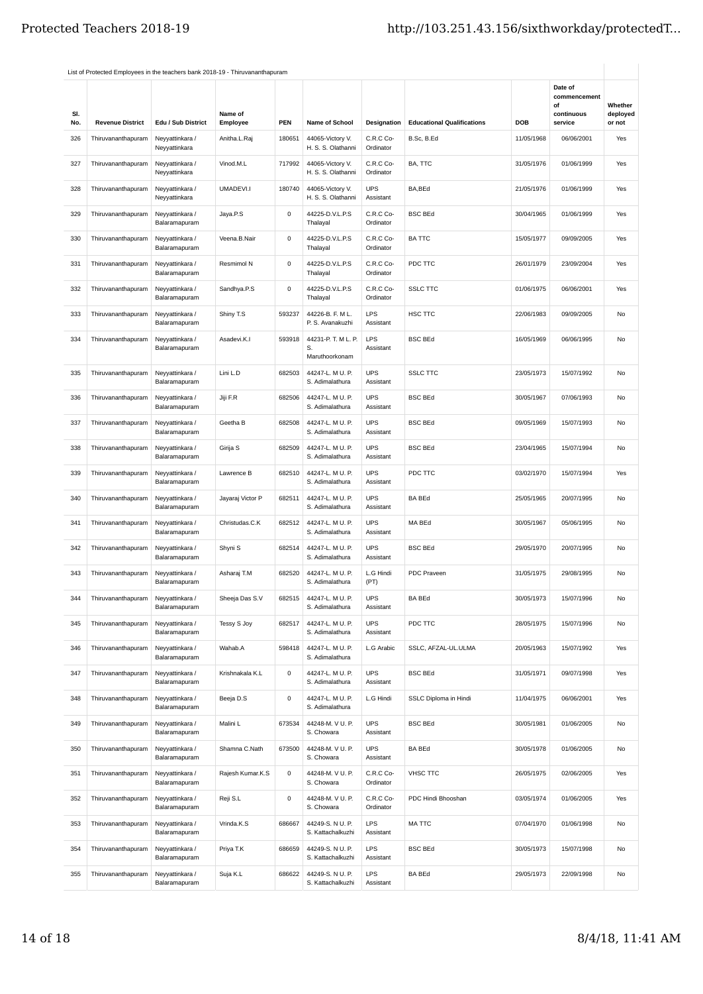| SI.<br>No. | <b>Revenue District</b> | Edu / Sub District               | Name of<br>Employee | <b>PEN</b>  | Name of School                              | Designation             | <b>Educational Qualifications</b> | DOB        | Date of<br>commencement<br>of<br>continuous<br>service | Whether<br>deployed<br>or not |
|------------|-------------------------|----------------------------------|---------------------|-------------|---------------------------------------------|-------------------------|-----------------------------------|------------|--------------------------------------------------------|-------------------------------|
| 326        | Thiruvananthapuram      | Neyyattinkara /<br>Neyyattinkara | Anitha.L.Raj        | 180651      | 44065-Victory V.<br>H. S. S. Olathanni      | C.R.C Co-<br>Ordinator  | B.Sc, B.Ed                        | 11/05/1968 | 06/06/2001                                             | Yes                           |
| 327        | Thiruvananthapuram      | Neyyattinkara /<br>Neyyattinkara | Vinod.M.L           | 717992      | 44065-Victory V.<br>H. S. S. Olathanni      | C.R.C Co-<br>Ordinator  | BA, TTC                           | 31/05/1976 | 01/06/1999                                             | Yes                           |
| 328        | Thiruvananthapuram      | Neyyattinkara /<br>Neyyattinkara | UMADEVI.I           | 180740      | 44065-Victory V.<br>H. S. S. Olathanni      | <b>UPS</b><br>Assistant | BA,BEd                            | 21/05/1976 | 01/06/1999                                             | Yes                           |
| 329        | Thiruvananthapuram      | Neyyattinkara /<br>Balaramapuram | Jaya.P.S            | $\mathsf 0$ | 44225-D.V.L.P.S<br>Thalayal                 | C.R.C Co-<br>Ordinator  | <b>BSC BEd</b>                    | 30/04/1965 | 01/06/1999                                             | Yes                           |
| 330        | Thiruvananthapuram      | Neyyattinkara /<br>Balaramapuram | Veena.B.Nair        | $\mathsf 0$ | 44225-D.V.L.P.S<br>Thalayal                 | C.R.C Co-<br>Ordinator  | <b>BATTC</b>                      | 15/05/1977 | 09/09/2005                                             | Yes                           |
| 331        | Thiruvananthapuram      | Neyyattinkara /<br>Balaramapuram | Resmimol N          | $\mathsf 0$ | 44225-D.V.L.P.S<br>Thalayal                 | C.R.C Co-<br>Ordinator  | PDC TTC                           | 26/01/1979 | 23/09/2004                                             | Yes                           |
| 332        | Thiruvananthapuram      | Neyyattinkara /<br>Balaramapuram | Sandhya.P.S         | $\mathsf 0$ | 44225-D.V.L.P.S<br>Thalayal                 | C.R.C Co-<br>Ordinator  | <b>SSLC TTC</b>                   | 01/06/1975 | 06/06/2001                                             | Yes                           |
| 333        | Thiruvananthapuram      | Neyyattinkara /<br>Balaramapuram | Shiny T.S           | 593237      | 44226-B. F. M L.<br>P. S. Avanakuzhi        | LPS<br>Assistant        | HSC TTC                           | 22/06/1983 | 09/09/2005                                             | No                            |
| 334        | Thiruvananthapuram      | Neyyattinkara /<br>Balaramapuram | Asadevi.K.I         | 593918      | 44231-P. T. M L. P.<br>S.<br>Maruthoorkonam | <b>LPS</b><br>Assistant | <b>BSC BEd</b>                    | 16/05/1969 | 06/06/1995                                             | No                            |
| 335        | Thiruvananthapuram      | Neyyattinkara /<br>Balaramapuram | Lini L.D            | 682503      | 44247-L. M U. P.<br>S. Adimalathura         | <b>UPS</b><br>Assistant | <b>SSLC TTC</b>                   | 23/05/1973 | 15/07/1992                                             | No                            |
| 336        | Thiruvananthapuram      | Neyyattinkara /<br>Balaramapuram | Jiji F.R            | 682506      | 44247-L. M U. P.<br>S. Adimalathura         | <b>UPS</b><br>Assistant | <b>BSC BEd</b>                    | 30/05/1967 | 07/06/1993                                             | No                            |
| 337        | Thiruvananthapuram      | Neyyattinkara /<br>Balaramapuram | Geetha B            | 682508      | 44247-L. M U. P.<br>S. Adimalathura         | <b>UPS</b><br>Assistant | <b>BSC BEd</b>                    | 09/05/1969 | 15/07/1993                                             | No                            |
| 338        | Thiruvananthapuram      | Neyyattinkara /<br>Balaramapuram | Girija S            | 682509      | 44247-L. M U. P.<br>S. Adimalathura         | <b>UPS</b><br>Assistant | <b>BSC BEd</b>                    | 23/04/1965 | 15/07/1994                                             | No                            |
| 339        | Thiruvananthapuram      | Neyyattinkara /<br>Balaramapuram | Lawrence B          | 682510      | 44247-L. M U. P.<br>S. Adimalathura         | <b>UPS</b><br>Assistant | PDC TTC                           | 03/02/1970 | 15/07/1994                                             | Yes                           |
| 340        | Thiruvananthapuram      | Neyyattinkara /<br>Balaramapuram | Jayaraj Victor P    | 682511      | 44247-L. M U. P.<br>S. Adimalathura         | <b>UPS</b><br>Assistant | <b>BA BEd</b>                     | 25/05/1965 | 20/07/1995                                             | No                            |
| 341        | Thiruvananthapuram      | Neyyattinkara /<br>Balaramapuram | Christudas.C.K      | 682512      | 44247-L. M U. P.<br>S. Adimalathura         | <b>UPS</b><br>Assistant | MA BEd                            | 30/05/1967 | 05/06/1995                                             | No                            |
| 342        | Thiruvananthapuram      | Neyyattinkara /<br>Balaramapuram | Shyni S             | 682514      | 44247-L. M U. P.<br>S. Adimalathura         | <b>UPS</b><br>Assistant | <b>BSC BEd</b>                    | 29/05/1970 | 20/07/1995                                             | No                            |
| 343        | Thiruvananthapuram      | Neyyattinkara /<br>Balaramapuram | Asharaj T.M         | 682520      | 44247-L. M U. P.<br>S. Adimalathura         | L.G Hindi<br>(PT)       | PDC Praveen                       | 31/05/1975 | 29/08/1995                                             | No                            |
| 344        | Thiruvananthapuram      | Neyyattinkara /<br>Balaramapuram | Sheeja Das S.V      | 682515      | 44247-L. M U. P.<br>S. Adimalathura         | <b>UPS</b><br>Assistant | <b>BA BEd</b>                     | 30/05/1973 | 15/07/1996                                             | No                            |
| 345        | Thiruvananthapuram      | Neyyattinkara /<br>Balaramapuram | Tessy S Joy         | 682517      | 44247-L. M U. P.<br>S. Adimalathura         | <b>UPS</b><br>Assistant | PDC TTC                           | 28/05/1975 | 15/07/1996                                             | No                            |
| 346        | Thiruvananthapuram      | Neyyattinkara /<br>Balaramapuram | Wahab.A             | 598418      | 44247-L. M U. P.<br>S. Adimalathura         | L.G Arabic              | SSLC, AFZAL-UL.ULMA               | 20/05/1963 | 15/07/1992                                             | Yes                           |
| 347        | Thiruvananthapuram      | Neyyattinkara /<br>Balaramapuram | Krishnakala K.L     | $\mathsf 0$ | 44247-L. M U. P.<br>S. Adimalathura         | <b>UPS</b><br>Assistant | <b>BSC BEd</b>                    | 31/05/1971 | 09/07/1998                                             | Yes                           |
| 348        | Thiruvananthapuram      | Neyyattinkara /<br>Balaramapuram | Beeja D.S           | $\mathsf 0$ | 44247-L. M U. P.<br>S. Adimalathura         | L.G Hindi               | SSLC Diploma in Hindi             | 11/04/1975 | 06/06/2001                                             | Yes                           |
| 349        | Thiruvananthapuram      | Neyyattinkara /<br>Balaramapuram | Malini L            | 673534      | 44248-M. V U. P.<br>S. Chowara              | <b>UPS</b><br>Assistant | <b>BSC BEd</b>                    | 30/05/1981 | 01/06/2005                                             | No                            |
| 350        | Thiruvananthapuram      | Neyyattinkara /<br>Balaramapuram | Shamna C.Nath       | 673500      | 44248-M. V U. P.<br>S. Chowara              | <b>UPS</b><br>Assistant | <b>BA BEd</b>                     | 30/05/1978 | 01/06/2005                                             | No                            |
| 351        | Thiruvananthapuram      | Neyyattinkara /<br>Balaramapuram | Rajesh Kumar.K.S    | $\mathsf 0$ | 44248-M. V U. P.<br>S. Chowara              | C.R.C Co-<br>Ordinator  | <b>VHSC TTC</b>                   | 26/05/1975 | 02/06/2005                                             | Yes                           |
| 352        | Thiruvananthapuram      | Neyyattinkara /<br>Balaramapuram | Reji S.L            | 0           | 44248-M. V U. P.<br>S. Chowara              | C.R.C Co-<br>Ordinator  | PDC Hindi Bhooshan                | 03/05/1974 | 01/06/2005                                             | Yes                           |
| 353        | Thiruvananthapuram      | Neyyattinkara /<br>Balaramapuram | Vrinda.K.S          | 686667      | 44249-S. N U. P.<br>S. Kattachalkuzhi       | <b>LPS</b><br>Assistant | <b>MATTC</b>                      | 07/04/1970 | 01/06/1998                                             | No                            |
| 354        | Thiruvananthapuram      | Neyyattinkara /<br>Balaramapuram | Priya T.K           | 686659      | 44249-S. N U. P.<br>S. Kattachalkuzhi       | LPS<br>Assistant        | <b>BSC BEd</b>                    | 30/05/1973 | 15/07/1998                                             | No                            |
| 355        | Thiruvananthapuram      | Neyyattinkara /<br>Balaramapuram | Suja K.L            | 686622      | 44249-S. N U. P.<br>S. Kattachalkuzhi       | LPS<br>Assistant        | <b>BA BEd</b>                     | 29/05/1973 | 22/09/1998                                             | No                            |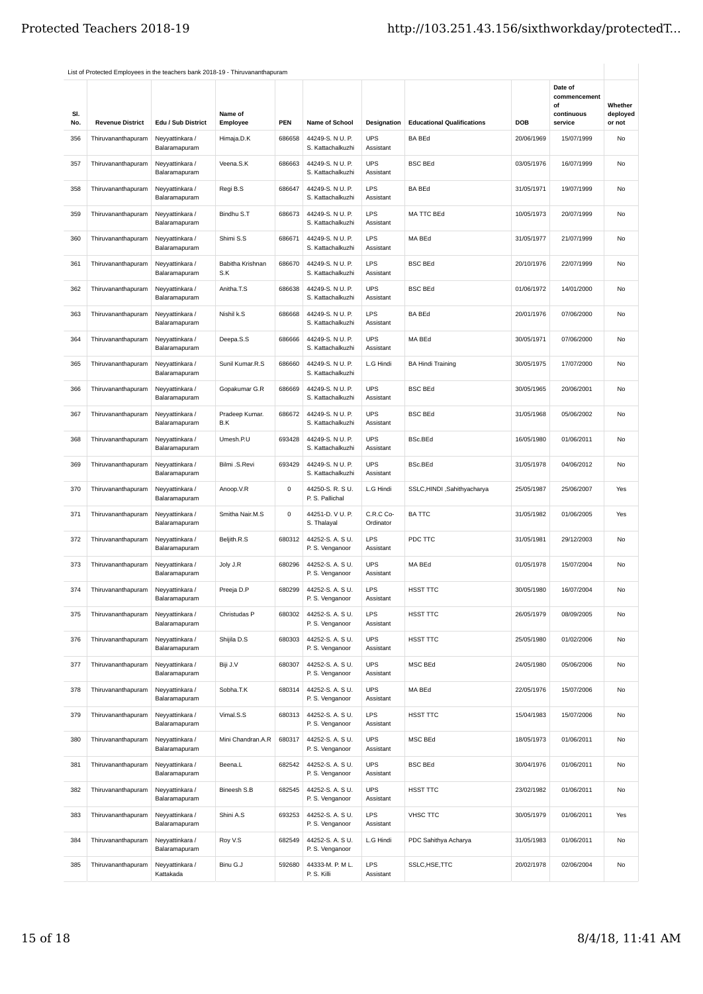| SI.<br>No. | <b>Revenue District</b>            | Edu / Sub District               | Name of<br>Employee     | <b>PEN</b>  | Name of School                        | <b>Designation</b>      | <b>Educational Qualifications</b> | DOB        | Date of<br>commencement<br>of<br>continuous<br>service | Whether<br>deployed<br>or not |
|------------|------------------------------------|----------------------------------|-------------------------|-------------|---------------------------------------|-------------------------|-----------------------------------|------------|--------------------------------------------------------|-------------------------------|
| 356        | Thiruvananthapuram                 | Neyyattinkara /<br>Balaramapuram | Himaja.D.K              | 686658      | 44249-S. N U. P.<br>S. Kattachalkuzhi | <b>UPS</b><br>Assistant | <b>BA BEd</b>                     | 20/06/1969 | 15/07/1999                                             | No                            |
| 357        | Thiruvananthapuram                 | Neyyattinkara /<br>Balaramapuram | Veena.S.K               | 686663      | 44249-S. N U. P.<br>S. Kattachalkuzhi | <b>UPS</b><br>Assistant | <b>BSC BEd</b>                    | 03/05/1976 | 16/07/1999                                             | No                            |
| 358        | Thiruvananthapuram                 | Neyyattinkara /<br>Balaramapuram | Regi B.S                | 686647      | 44249-S. N U. P.<br>S. Kattachalkuzhi | <b>LPS</b><br>Assistant | <b>BA BEd</b>                     | 31/05/1971 | 19/07/1999                                             | No                            |
| 359        | Thiruvananthapuram                 | Neyyattinkara /<br>Balaramapuram | Bindhu S.T              | 686673      | 44249-S. N U. P.<br>S. Kattachalkuzhi | LPS<br>Assistant        | MA TTC BEd                        | 10/05/1973 | 20/07/1999                                             | No                            |
| 360        | Thiruvananthapuram                 | Neyyattinkara /<br>Balaramapuram | Shimi S.S               | 686671      | 44249-S. N U. P.<br>S. Kattachalkuzhi | <b>LPS</b><br>Assistant | MA BEd                            | 31/05/1977 | 21/07/1999                                             | No                            |
| 361        | Thiruvananthapuram                 | Neyyattinkara /<br>Balaramapuram | Babitha Krishnan<br>S.K | 686670      | 44249-S. N U. P.<br>S. Kattachalkuzhi | LPS<br>Assistant        | <b>BSC BEd</b>                    | 20/10/1976 | 22/07/1999                                             | No                            |
| 362        | Thiruvananthapuram                 | Neyyattinkara /<br>Balaramapuram | Anitha.T.S              | 686638      | 44249-S. N U. P.<br>S. Kattachalkuzhi | <b>UPS</b><br>Assistant | <b>BSC BEd</b>                    | 01/06/1972 | 14/01/2000                                             | No                            |
| 363        | Thiruvananthapuram                 | Neyyattinkara /<br>Balaramapuram | Nishil k.S              | 686668      | 44249-S. N U. P.<br>S. Kattachalkuzhi | LPS<br>Assistant        | <b>BA BEd</b>                     | 20/01/1976 | 07/06/2000                                             | No                            |
| 364        | Thiruvananthapuram                 | Neyyattinkara /<br>Balaramapuram | Deepa.S.S               | 686666      | 44249-S. N U. P.<br>S. Kattachalkuzhi | <b>UPS</b><br>Assistant | MA BEd                            | 30/05/1971 | 07/06/2000                                             | No                            |
| 365        | Thiruvananthapuram                 | Neyyattinkara /<br>Balaramapuram | Sunil Kumar.R.S         | 686660      | 44249-S. N U. P.<br>S. Kattachalkuzhi | L.G Hindi               | <b>BA Hindi Training</b>          | 30/05/1975 | 17/07/2000                                             | No                            |
| 366        | Thiruvananthapuram                 | Neyyattinkara /<br>Balaramapuram | Gopakumar G.R           | 686669      | 44249-S. N U. P.<br>S. Kattachalkuzhi | <b>UPS</b><br>Assistant | <b>BSC BEd</b>                    | 30/05/1965 | 20/06/2001                                             | No                            |
| 367        | Thiruvananthapuram                 | Neyyattinkara /<br>Balaramapuram | Pradeep Kumar.<br>B.K   | 686672      | 44249-S. N U. P.<br>S. Kattachalkuzhi | <b>UPS</b><br>Assistant | <b>BSC BEd</b>                    | 31/05/1968 | 05/06/2002                                             | No                            |
| 368        | Thiruvananthapuram                 | Neyyattinkara /<br>Balaramapuram | Umesh.P.U               | 693428      | 44249-S. N U. P.<br>S. Kattachalkuzhi | <b>UPS</b><br>Assistant | BSc.BEd                           | 16/05/1980 | 01/06/2011                                             | No                            |
| 369        | Thiruvananthapuram                 | Neyyattinkara /<br>Balaramapuram | Bilmi .S.Revi           | 693429      | 44249-S. N U. P.<br>S. Kattachalkuzhi | <b>UPS</b><br>Assistant | BSc.BEd                           | 31/05/1978 | 04/06/2012                                             | No                            |
| 370        | Thiruvananthapuram                 | Neyyattinkara /<br>Balaramapuram | Anoop.V.R               | $\mathsf 0$ | 44250-S. R. S U.<br>P. S. Pallichal   | L.G Hindi               | SSLC,HINDI ,Sahithyacharya        | 25/05/1987 | 25/06/2007                                             | Yes                           |
| 371        | Thiruvananthapuram                 | Neyyattinkara /<br>Balaramapuram | Smitha Nair.M.S         | 0           | 44251-D. V U. P.<br>S. Thalayal       | C.R.C Co-<br>Ordinator  | <b>BA TTC</b>                     | 31/05/1982 | 01/06/2005                                             | Yes                           |
| 372        | Thiruvananthapuram                 | Neyyattinkara /<br>Balaramapuram | Beljith.R.S             | 680312      | 44252-S.A.SU.<br>P. S. Venganoor      | <b>LPS</b><br>Assistant | PDC TTC                           | 31/05/1981 | 29/12/2003                                             | No                            |
| 373        | Thiruvananthapuram                 | Neyyattinkara /<br>Balaramapuram | Joly J.R                | 680296      | 44252-S. A. S U.<br>P. S. Venganoor   | <b>UPS</b><br>Assistant | MA BEd                            | 01/05/1978 | 15/07/2004                                             | No                            |
| 374        | Thiruvananthapuram Neyyattinkara / | Balaramapuram                    | Preeja D.P              | 680299      | 44252-S.A.SU.<br>P. S. Venganoor      | <b>LPS</b><br>Assistant | HSST TTC                          | 30/05/1980 | 16/07/2004                                             | N <sub>0</sub>                |
| 375        | Thiruvananthapuram                 | Neyyattinkara /<br>Balaramapuram | Christudas P            | 680302      | 44252-S. A. S U.<br>P. S. Venganoor   | <b>LPS</b><br>Assistant | HSST TTC                          | 26/05/1979 | 08/09/2005                                             | No                            |
| 376        | Thiruvananthapuram                 | Neyyattinkara /<br>Balaramapuram | Shijila D.S             | 680303      | 44252-S. A. S U.<br>P. S. Venganoor   | <b>UPS</b><br>Assistant | HSST TTC                          | 25/05/1980 | 01/02/2006                                             | No                            |
| 377        | Thiruvananthapuram                 | Neyyattinkara /<br>Balaramapuram | Biji J.V                | 680307      | 44252-S. A. S U.<br>P. S. Venganoor   | <b>UPS</b><br>Assistant | MSC BEd                           | 24/05/1980 | 05/06/2006                                             | No                            |
| 378        | Thiruvananthapuram                 | Neyyattinkara /<br>Balaramapuram | Sobha.T.K               | 680314      | 44252-S. A. S U.<br>P. S. Venganoor   | <b>UPS</b><br>Assistant | MA BEd                            | 22/05/1976 | 15/07/2006                                             | No                            |
| 379        | Thiruvananthapuram                 | Neyyattinkara /<br>Balaramapuram | Vimal.S.S               | 680313      | 44252-S. A. S U.<br>P. S. Venganoor   | LPS<br>Assistant        | HSST TTC                          | 15/04/1983 | 15/07/2006                                             | No                            |
| 380        | Thiruvananthapuram                 | Neyyattinkara /<br>Balaramapuram | Mini Chandran.A.R       | 680317      | 44252-S. A. S U.<br>P. S. Venganoor   | <b>UPS</b><br>Assistant | MSC BEd                           | 18/05/1973 | 01/06/2011                                             | No                            |
| 381        | Thiruvananthapuram                 | Neyyattinkara /<br>Balaramapuram | Beena.L                 | 682542      | 44252-S. A. S U.<br>P. S. Venganoor   | <b>UPS</b><br>Assistant | <b>BSC BEd</b>                    | 30/04/1976 | 01/06/2011                                             | No                            |
| 382        | Thiruvananthapuram                 | Neyyattinkara /<br>Balaramapuram | Bineesh S.B             | 682545      | 44252-S. A. S U.<br>P. S. Venganoor   | <b>UPS</b><br>Assistant | HSST TTC                          | 23/02/1982 | 01/06/2011                                             | No                            |
| 383        | Thiruvananthapuram                 | Neyyattinkara /<br>Balaramapuram | Shini A.S               | 693253      | 44252-S. A. S U.<br>P. S. Venganoor   | <b>LPS</b><br>Assistant | <b>VHSC TTC</b>                   | 30/05/1979 | 01/06/2011                                             | Yes                           |
| 384        | Thiruvananthapuram                 | Neyyattinkara /<br>Balaramapuram | Roy V.S                 | 682549      | 44252-S. A. S U.<br>P. S. Venganoor   | L.G Hindi               | PDC Sahithya Acharya              | 31/05/1983 | 01/06/2011                                             | No                            |
| 385        | Thiruvananthapuram                 | Neyyattinkara /<br>Kattakada     | Binu G.J                | 592680      | 44333-M. P. M L.<br>P. S. Killi       | LPS<br>Assistant        | SSLC, HSE, TTC                    | 20/02/1978 | 02/06/2004                                             | No                            |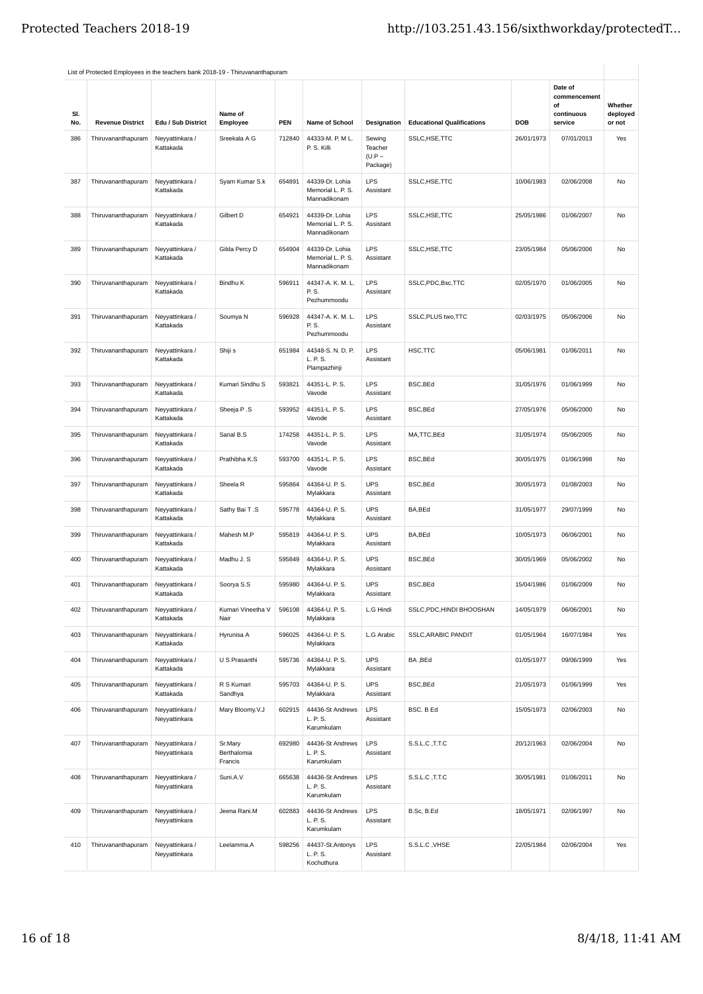|            | List of Protected Employees in the teachers bank 2018-19 - Thiruvananthapuram |                                  |                                   |        |                                                      |                                           |                                   |            |                             |                               |
|------------|-------------------------------------------------------------------------------|----------------------------------|-----------------------------------|--------|------------------------------------------------------|-------------------------------------------|-----------------------------------|------------|-----------------------------|-------------------------------|
|            |                                                                               |                                  |                                   |        |                                                      |                                           |                                   |            | Date of<br>commencement     |                               |
| SI.<br>No. | <b>Revenue District</b>                                                       | Edu / Sub District               | Name of<br>Employee               | PEN    | Name of School                                       | <b>Designation</b>                        | <b>Educational Qualifications</b> | DOB        | of<br>continuous<br>service | Whether<br>deployed<br>or not |
| 386        | Thiruvananthapuram                                                            | Neyyattinkara /<br>Kattakada     | Sreekala A G                      | 712840 | 44333-M. P. M L.<br>P. S. Killi                      | Sewing<br>Teacher<br>$(U.P -$<br>Package) | SSLC, HSE, TTC                    | 26/01/1973 | 07/01/2013                  | Yes                           |
| 387        | Thiruvananthapuram                                                            | Neyyattinkara /<br>Kattakada     | Syam Kumar S.k                    | 654891 | 44339-Dr. Lohia<br>Memorial L. P. S.<br>Mannadikonam | LPS<br>Assistant                          | SSLC, HSE, TTC                    | 10/06/1983 | 02/06/2008                  | No                            |
| 388        | Thiruvananthapuram                                                            | Neyyattinkara /<br>Kattakada     | Gilbert D                         | 654921 | 44339-Dr. Lohia<br>Memorial L. P. S.<br>Mannadikonam | LPS<br>Assistant                          | SSLC, HSE, TTC                    | 25/05/1986 | 01/06/2007                  | No                            |
| 389        | Thiruvananthapuram                                                            | Neyyattinkara /<br>Kattakada     | Gilda Percy D                     | 654904 | 44339-Dr. Lohia<br>Memorial L. P. S.<br>Mannadikonam | LPS<br>Assistant                          | SSLC, HSE, TTC                    | 23/05/1984 | 05/06/2006                  | No                            |
| 390        | Thiruvananthapuram                                                            | Neyyattinkara /<br>Kattakada     | Bindhu K                          | 596911 | 44347-A. K. M. L.<br>P. S.<br>Pezhummoodu            | LPS<br>Assistant                          | SSLC, PDC, Bsc, TTC               | 02/05/1970 | 01/06/2005                  | No                            |
| 391        | Thiruvananthapuram                                                            | Neyyattinkara /<br>Kattakada     | Soumya N                          | 596928 | 44347-A. K. M. L.<br>P. S.<br>Pezhummoodu            | LPS<br>Assistant                          | SSLC, PLUS two, TTC               | 02/03/1975 | 05/06/2006                  | No                            |
| 392        | Thiruvananthapuram                                                            | Neyyattinkara /<br>Kattakada     | Shiji s                           | 651984 | 44348-S. N. D. P.<br>L. P. S.<br>Plampazhinji        | LPS<br>Assistant                          | HSC,TTC                           | 05/06/1981 | 01/06/2011                  | No                            |
| 393        | Thiruvananthapuram                                                            | Neyyattinkara /<br>Kattakada     | Kumari Sindhu S                   | 593821 | 44351-L. P. S.<br>Vavode                             | LPS<br>Assistant                          | BSC, BEd                          | 31/05/1976 | 01/06/1999                  | No                            |
| 394        | Thiruvananthapuram                                                            | Neyyattinkara /<br>Kattakada     | Sheeja P.S                        | 593952 | 44351-L. P. S.<br>Vavode                             | LPS<br>Assistant                          | BSC, BEd                          | 27/05/1976 | 05/06/2000                  | No                            |
| 395        | Thiruvananthapuram                                                            | Neyyattinkara /<br>Kattakada     | Sanal B.S                         | 174258 | 44351-L. P. S.<br>Vavode                             | LPS<br>Assistant                          | MA,TTC,BEd                        | 31/05/1974 | 05/06/2005                  | No                            |
| 396        | Thiruvananthapuram                                                            | Neyyattinkara /<br>Kattakada     | Prathibha K.S                     | 593700 | 44351-L. P. S.<br>Vavode                             | LPS<br>Assistant                          | BSC, BEd                          | 30/05/1975 | 01/06/1998                  | No                            |
| 397        | Thiruvananthapuram                                                            | Neyyattinkara /<br>Kattakada     | Sheela R                          | 595864 | 44364-U. P. S.<br>Mylakkara                          | <b>UPS</b><br>Assistant                   | BSC, BEd                          | 30/05/1973 | 01/08/2003                  | No                            |
| 398        | Thiruvananthapuram                                                            | Neyyattinkara /<br>Kattakada     | Sathy Bai T.S                     | 595778 | 44364-U. P. S.<br>Mylakkara                          | <b>UPS</b><br>Assistant                   | BA,BEd                            | 31/05/1977 | 29/07/1999                  | No                            |
| 399        | Thiruvananthapuram                                                            | Neyyattinkara /<br>Kattakada     | Mahesh M.P                        | 595819 | 44364-U. P. S.<br>Mylakkara                          | <b>UPS</b><br>Assistant                   | BA,BEd                            | 10/05/1973 | 06/06/2001                  | No                            |
| 400        | Thiruvananthapuram                                                            | Neyyattinkara /<br>Kattakada     | Madhu J. S                        | 595849 | 44364-U. P. S.<br>Mylakkara                          | <b>UPS</b><br>Assistant                   | BSC, BEd                          | 30/05/1969 | 05/06/2002                  | No                            |
| 401        | Thiruvananthapuram                                                            | Neyyattinkara /<br>Kattakada     | Soorya S.S                        | 595980 | 44364-U. P. S.<br>Mylakkara                          | UPS<br>Assistant                          | <b>BSC.BEd</b>                    | 15/04/1986 | 01/06/2009                  | No                            |
| 402        | Thiruvananthapuram                                                            | Neyyattinkara /<br>Kattakada     | Kumari Vineetha V<br>Nair         | 596108 | 44364-U. P. S.<br>Mylakkara                          | L.G Hindi                                 | SSLC, PDC, HINDI BHOOSHAN         | 14/05/1979 | 06/06/2001                  | No                            |
| 403        | Thiruvananthapuram                                                            | Neyyattinkara /<br>Kattakada     | Hyrunisa A                        | 596025 | 44364-U. P. S.<br>Mylakkara                          | L.G Arabic                                | SSLC, ARABIC PANDIT               | 01/05/1964 | 16/07/1984                  | Yes                           |
| 404        | Thiruvananthapuram                                                            | Neyyattinkara /<br>Kattakada     | U S Prasanthi                     | 595736 | 44364-U. P. S.<br>Mylakkara                          | <b>UPS</b><br>Assistant                   | BA, BEd                           | 01/05/1977 | 09/06/1999                  | Yes                           |
| 405        | Thiruvananthapuram                                                            | Neyyattinkara /<br>Kattakada     | R S Kumari<br>Sandhya             | 595703 | 44364-U. P. S.<br>Mylakkara                          | <b>UPS</b><br>Assistant                   | BSC, BEd                          | 21/05/1973 | 01/06/1999                  | Yes                           |
| 406        | Thiruvananthapuram                                                            | Neyyattinkara /<br>Neyyattinkara | Mary Bloomy.V.J                   | 602915 | 44436-St Andrews<br>L. P. S.<br>Karumkulam           | LPS<br>Assistant                          | BSC. B Ed                         | 15/05/1973 | 02/06/2003                  | No                            |
| 407        | Thiruvananthapuram                                                            | Neyyattinkara /<br>Neyyattinkara | Sr.Mary<br>Berthalomia<br>Francis | 692980 | 44436-St Andrews<br>L. P. S.<br>Karumkulam           | LPS<br>Assistant                          | S.S.L.C, T.T.C                    | 20/12/1963 | 02/06/2004                  | No                            |
| 408        | Thiruvananthapuram                                                            | Neyyattinkara /<br>Neyyattinkara | Suni.A.V                          | 665638 | 44436-St Andrews<br>L. P. S.<br>Karumkulam           | LPS<br>Assistant                          | S.S.L.C, T.T.C                    | 30/05/1981 | 01/06/2011                  | No                            |
| 409        | Thiruvananthapuram                                                            | Neyyattinkara /<br>Neyyattinkara | Jeena Rani.M                      | 602883 | 44436-St Andrews<br>L. P. S.<br>Karumkulam           | LPS<br>Assistant                          | B.Sc, B.Ed                        | 18/05/1971 | 02/06/1997                  | No                            |
| 410        | Thiruvananthapuram                                                            | Neyyattinkara /<br>Neyyattinkara | Leelamma.A                        | 598256 | 44437-St.Antonys<br>L. P. S.<br>Kochuthura           | LPS<br>Assistant                          | S.S.L.C, VHSE                     | 22/05/1984 | 02/06/2004                  | Yes                           |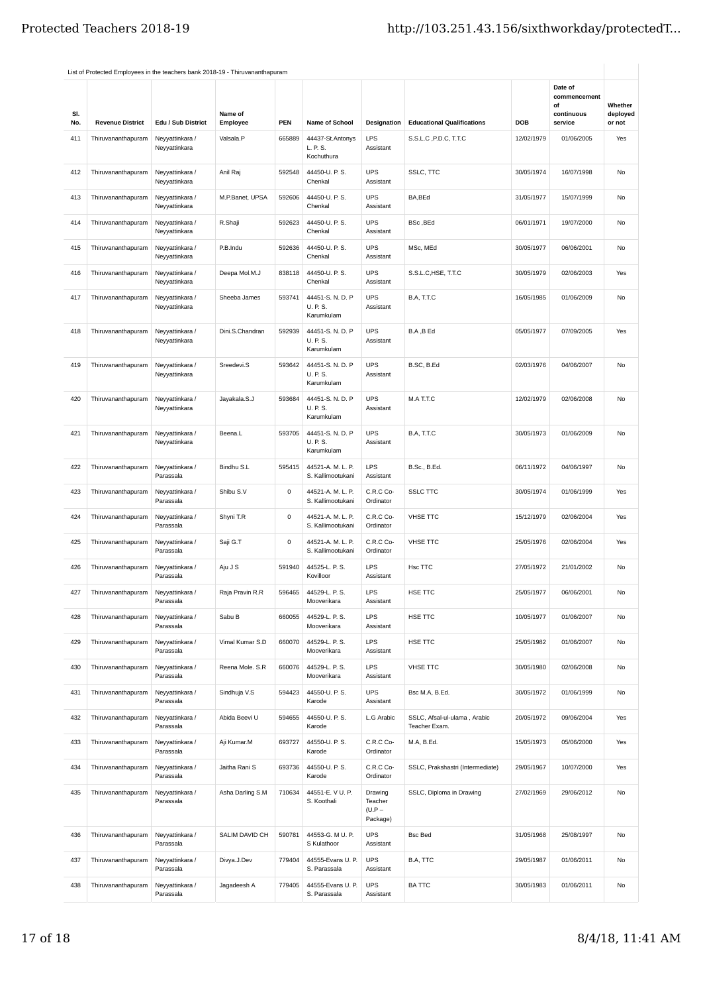|            | List of Protected Employees in the teachers bank 2018-19 - Thiruvananthapuram |                                  |                     |        |                                            |                                            |                                               |            |                                                        |                               |
|------------|-------------------------------------------------------------------------------|----------------------------------|---------------------|--------|--------------------------------------------|--------------------------------------------|-----------------------------------------------|------------|--------------------------------------------------------|-------------------------------|
| SI.<br>No. | <b>Revenue District</b>                                                       | Edu / Sub District               | Name of<br>Employee | PEN    | <b>Name of School</b>                      | Designation                                | <b>Educational Qualifications</b>             | DOB        | Date of<br>commencement<br>of<br>continuous<br>service | Whether<br>deployed<br>or not |
| 411        | Thiruvananthapuram                                                            | Neyyattinkara /<br>Neyyattinkara | Valsala.P           | 665889 | 44437-St.Antonys<br>L. P. S.<br>Kochuthura | LPS<br>Assistant                           | S.S.L.C, P.D.C, T.T.C                         | 12/02/1979 | 01/06/2005                                             | Yes                           |
| 412        | Thiruvananthapuram                                                            | Neyyattinkara /<br>Neyyattinkara | Anil Raj            | 592548 | 44450-U. P. S.<br>Chenkal                  | <b>UPS</b><br>Assistant                    | SSLC, TTC                                     | 30/05/1974 | 16/07/1998                                             | No                            |
| 413        | Thiruvananthapuram                                                            | Neyyattinkara /<br>Neyyattinkara | M.P.Banet, UPSA     | 592606 | 44450-U. P. S.<br>Chenkal                  | <b>UPS</b><br>Assistant                    | BA.BEd                                        | 31/05/1977 | 15/07/1999                                             | No                            |
| 414        | Thiruvananthapuram                                                            | Neyyattinkara /<br>Neyyattinkara | R.Shaji             | 592623 | 44450-U. P. S.<br>Chenkal                  | <b>UPS</b><br>Assistant                    | BSc, BEd                                      | 06/01/1971 | 19/07/2000                                             | No                            |
| 415        | Thiruvananthapuram                                                            | Neyyattinkara /<br>Neyyattinkara | P.B.Indu            | 592636 | 44450-U. P. S.<br>Chenkal                  | <b>UPS</b><br>Assistant                    | MSc, MEd                                      | 30/05/1977 | 06/06/2001                                             | No                            |
| 416        | Thiruvananthapuram                                                            | Neyyattinkara /<br>Neyyattinkara | Deepa Mol.M.J       | 838118 | 44450-U. P. S.<br>Chenkal                  | <b>UPS</b><br>Assistant                    | S.S.L.C, HSE, T.T.C                           | 30/05/1979 | 02/06/2003                                             | Yes                           |
| 417        | Thiruvananthapuram                                                            | Neyyattinkara /<br>Neyyattinkara | Sheeba James        | 593741 | 44451-S. N. D. P<br>U. P. S.<br>Karumkulam | <b>UPS</b><br>Assistant                    | B.A, T.T.C                                    | 16/05/1985 | 01/06/2009                                             | No                            |
| 418        | Thiruvananthapuram                                                            | Neyyattinkara /<br>Neyyattinkara | Dini.S.Chandran     | 592939 | 44451-S. N. D. P<br>U. P. S.<br>Karumkulam | <b>UPS</b><br>Assistant                    | B.A, B Ed                                     | 05/05/1977 | 07/09/2005                                             | Yes                           |
| 419        | Thiruvananthapuram                                                            | Neyyattinkara /<br>Neyyattinkara | Sreedevi.S          | 593642 | 44451-S. N. D. P<br>U. P. S.<br>Karumkulam | <b>UPS</b><br>Assistant                    | B.SC, B.Ed                                    | 02/03/1976 | 04/06/2007                                             | No                            |
| 420        | Thiruvananthapuram                                                            | Neyyattinkara /<br>Neyyattinkara | Jayakala.S.J        | 593684 | 44451-S. N. D. P<br>U. P. S.<br>Karumkulam | <b>UPS</b><br>Assistant                    | M.A T.T.C                                     | 12/02/1979 | 02/06/2008                                             | No                            |
| 421        | Thiruvananthapuram                                                            | Neyyattinkara /<br>Neyyattinkara | Beena.L             | 593705 | 44451-S. N. D. P<br>U. P. S.<br>Karumkulam | <b>UPS</b><br>Assistant                    | B.A, T.T.C                                    | 30/05/1973 | 01/06/2009                                             | No                            |
| 422        | Thiruvananthapuram                                                            | Neyyattinkara /<br>Parassala     | Bindhu S.L          | 595415 | 44521-A. M. L. P.<br>S. Kallimootukani     | LPS<br>Assistant                           | B.Sc., B.Ed.                                  | 06/11/1972 | 04/06/1997                                             | No                            |
| 423        | Thiruvananthapuram                                                            | Neyyattinkara /<br>Parassala     | Shibu S.V           | 0      | 44521-A. M. L. P.<br>S. Kallimootukani     | C.R.C Co-<br>Ordinator                     | <b>SSLC TTC</b>                               | 30/05/1974 | 01/06/1999                                             | Yes                           |
| 424        | Thiruvananthapuram                                                            | Neyyattinkara /<br>Parassala     | Shyni T.R           | 0      | 44521-A. M. L. P.<br>S. Kallimootukani     | C.R.C Co-<br>Ordinator                     | <b>VHSE TTC</b>                               | 15/12/1979 | 02/06/2004                                             | Yes                           |
| 425        | Thiruvananthapuram                                                            | Neyyattinkara /<br>Parassala     | Saji G.T            | 0      | 44521-A. M. L. P.<br>S. Kallimootukani     | C.R.C Co-<br>Ordinator                     | <b>VHSE TTC</b>                               | 25/05/1976 | 02/06/2004                                             | Yes                           |
| 426        | Thiruvananthapuram                                                            | Neyyattinkara /<br>Parassala     | Aju J S             | 591940 | 44525-L. P. S.<br>Kovilloor                | LPS<br>Assistant                           | Hsc TTC                                       | 27/05/1972 | 21/01/2002                                             | No                            |
| 427        | Thiruvananthapuram                                                            | Neyyattinkara /<br>Parassala     | Raja Pravin R.R     | 596465 | 44529-L. P. S.<br>Mooverikara              | LPS<br>Assistant                           | HSE TTC                                       | 25/05/1977 | 06/06/2001                                             | No                            |
| 428        | Thiruvananthapuram                                                            | Neyyattinkara /<br>Parassala     | Sabu B              | 660055 | 44529-L. P. S.<br>Mooverikara              | LPS<br>Assistant                           | HSE TTC                                       | 10/05/1977 | 01/06/2007                                             | No                            |
| 429        | Thiruvananthapuram                                                            | Neyyattinkara /<br>Parassala     | Vimal Kumar S.D     | 660070 | 44529-L. P. S.<br>Mooverikara              | LPS<br>Assistant                           | HSE TTC                                       | 25/05/1982 | 01/06/2007                                             | No                            |
| 430        | Thiruvananthapuram                                                            | Neyyattinkara /<br>Parassala     | Reena Mole. S.R     | 660076 | 44529-L. P. S.<br>Mooverikara              | LPS<br>Assistant                           | <b>VHSE TTC</b>                               | 30/05/1980 | 02/06/2008                                             | No                            |
| 431        | Thiruvananthapuram                                                            | Neyyattinkara /<br>Parassala     | Sindhuja V.S        | 594423 | 44550-U. P. S.<br>Karode                   | <b>UPS</b><br>Assistant                    | Bsc M.A, B.Ed.                                | 30/05/1972 | 01/06/1999                                             | No                            |
| 432        | Thiruvananthapuram                                                            | Neyyattinkara /<br>Parassala     | Abida Beevi U       | 594655 | 44550-U. P. S.<br>Karode                   | L.G Arabic                                 | SSLC, Afsal-ul-ulama, Arabic<br>Teacher Exam. | 20/05/1972 | 09/06/2004                                             | Yes                           |
| 433        | Thiruvananthapuram                                                            | Neyyattinkara /<br>Parassala     | Aji Kumar.M         | 693727 | 44550-U. P. S.<br>Karode                   | C.R.C Co-<br>Ordinator                     | M.A, B.Ed.                                    | 15/05/1973 | 05/06/2000                                             | Yes                           |
| 434        | Thiruvananthapuram                                                            | Neyyattinkara /<br>Parassala     | Jaitha Rani S       | 693736 | 44550-U. P. S.<br>Karode                   | C.R.C Co-<br>Ordinator                     | SSLC, Prakshastri (Intermediate)              | 29/05/1967 | 10/07/2000                                             | Yes                           |
| 435        | Thiruvananthapuram                                                            | Neyyattinkara /<br>Parassala     | Asha Darling S.M    | 710634 | 44551-E. V U. P.<br>S. Koothali            | Drawing<br>Teacher<br>$(U.P -$<br>Package) | SSLC, Diploma in Drawing                      | 27/02/1969 | 29/06/2012                                             | No                            |
| 436        | Thiruvananthapuram                                                            | Neyyattinkara /<br>Parassala     | SALIM DAVID CH      | 590781 | 44553-G. M U. P.<br>S Kulathoor            | <b>UPS</b><br>Assistant                    | <b>Bsc Bed</b>                                | 31/05/1968 | 25/08/1997                                             | No                            |
| 437        | Thiruvananthapuram                                                            | Neyyattinkara /<br>Parassala     | Divya.J.Dev         | 779404 | 44555-Evans U. P.<br>S. Parassala          | <b>UPS</b><br>Assistant                    | B.A, TTC                                      | 29/05/1987 | 01/06/2011                                             | No                            |
| 438        | Thiruvananthapuram                                                            | Neyyattinkara /<br>Parassala     | Jagadeesh A         | 779405 | 44555-Evans U. P.<br>S. Parassala          | <b>UPS</b><br>Assistant                    | <b>BA TTC</b>                                 | 30/05/1983 | 01/06/2011                                             | No                            |